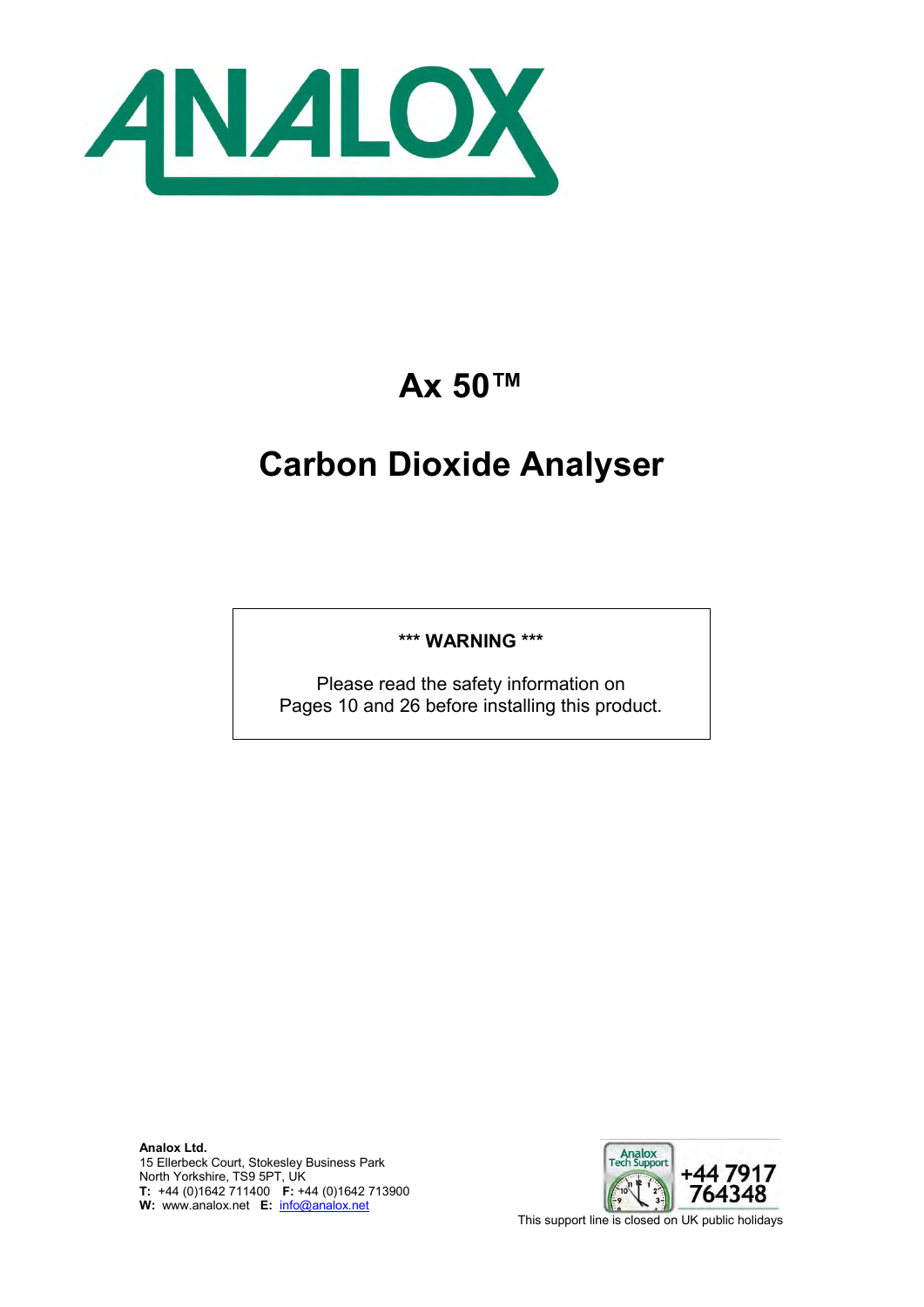

# **Ax 50™**

# **Carbon Dioxide Analyser**

**\*\*\* WARNING \*\*\***

Please read the safety information on Pages [10](#page-10-0) and [26](#page-26-0) before installing this product.

**Analox Ltd.**  15 Ellerbeck Court, Stokesley Business Park North Yorkshire, TS9 5PT, UK **T:** +44 (0)1642 711400 **F:** +44 (0)1642 713900 **W:** www.analox.net **E:** [info@analox.net](mailto:info@analox.net)



This support line is closed on UK public holidays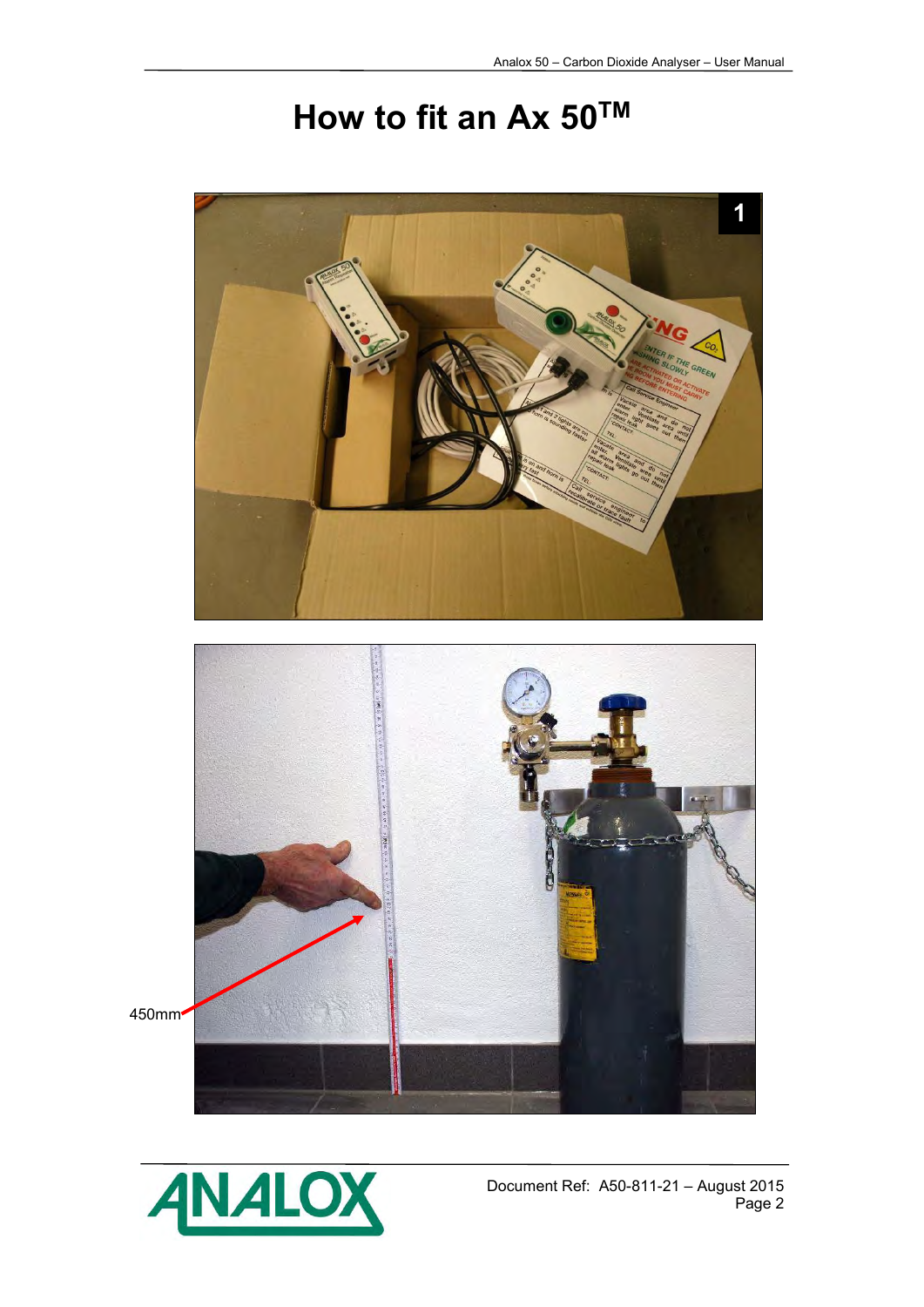# **How to fit an Ax 50TM**



**ANALO**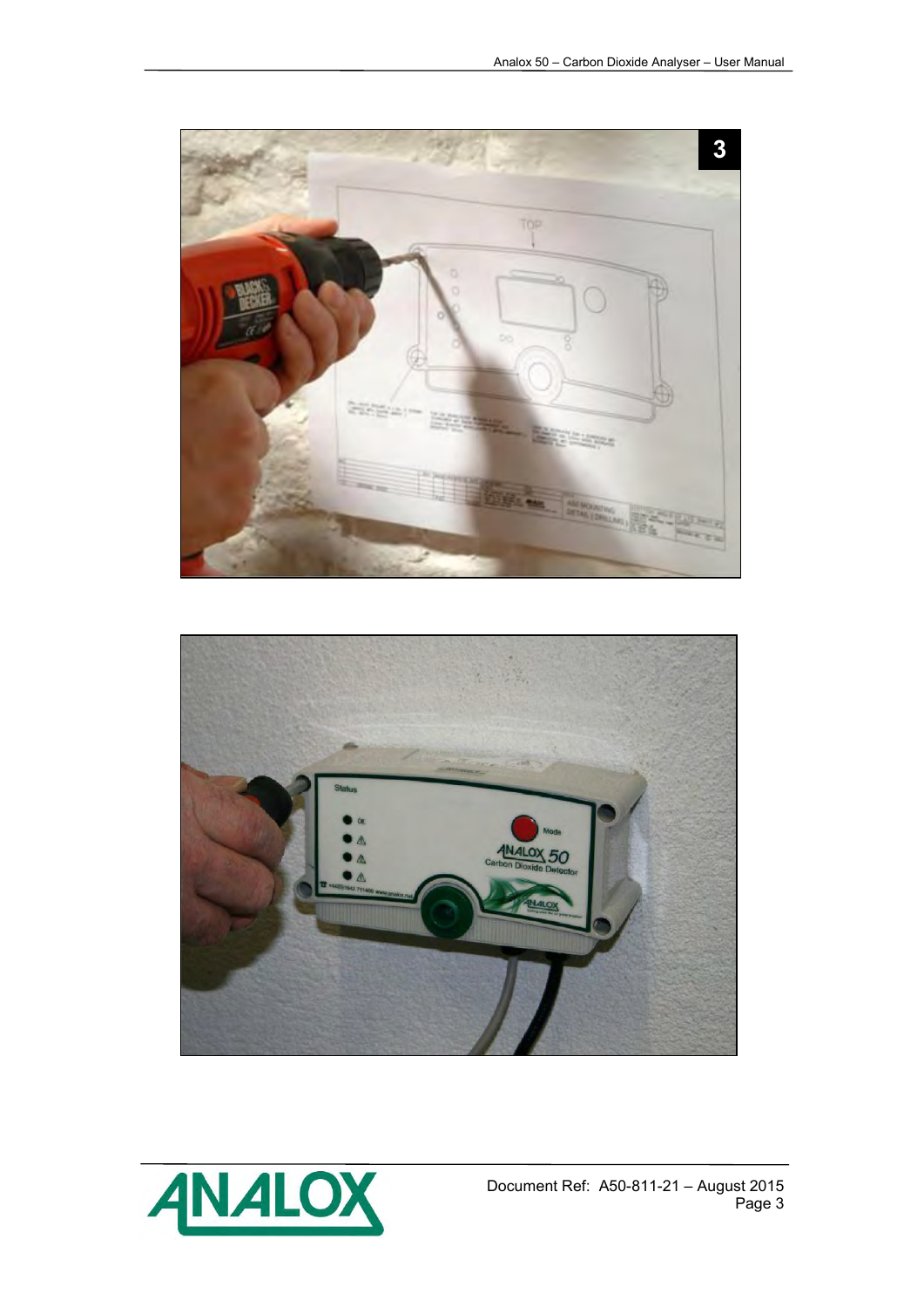



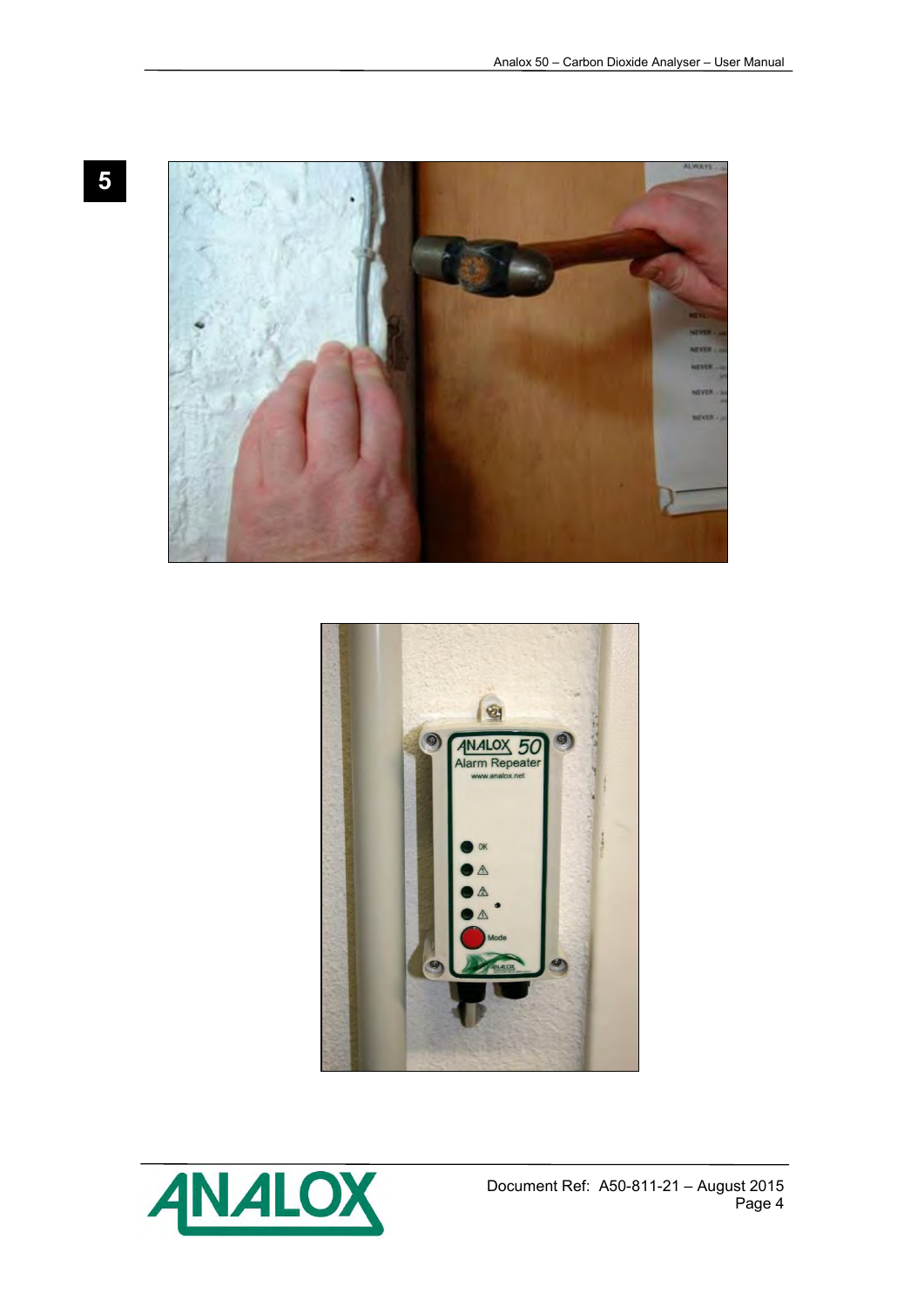



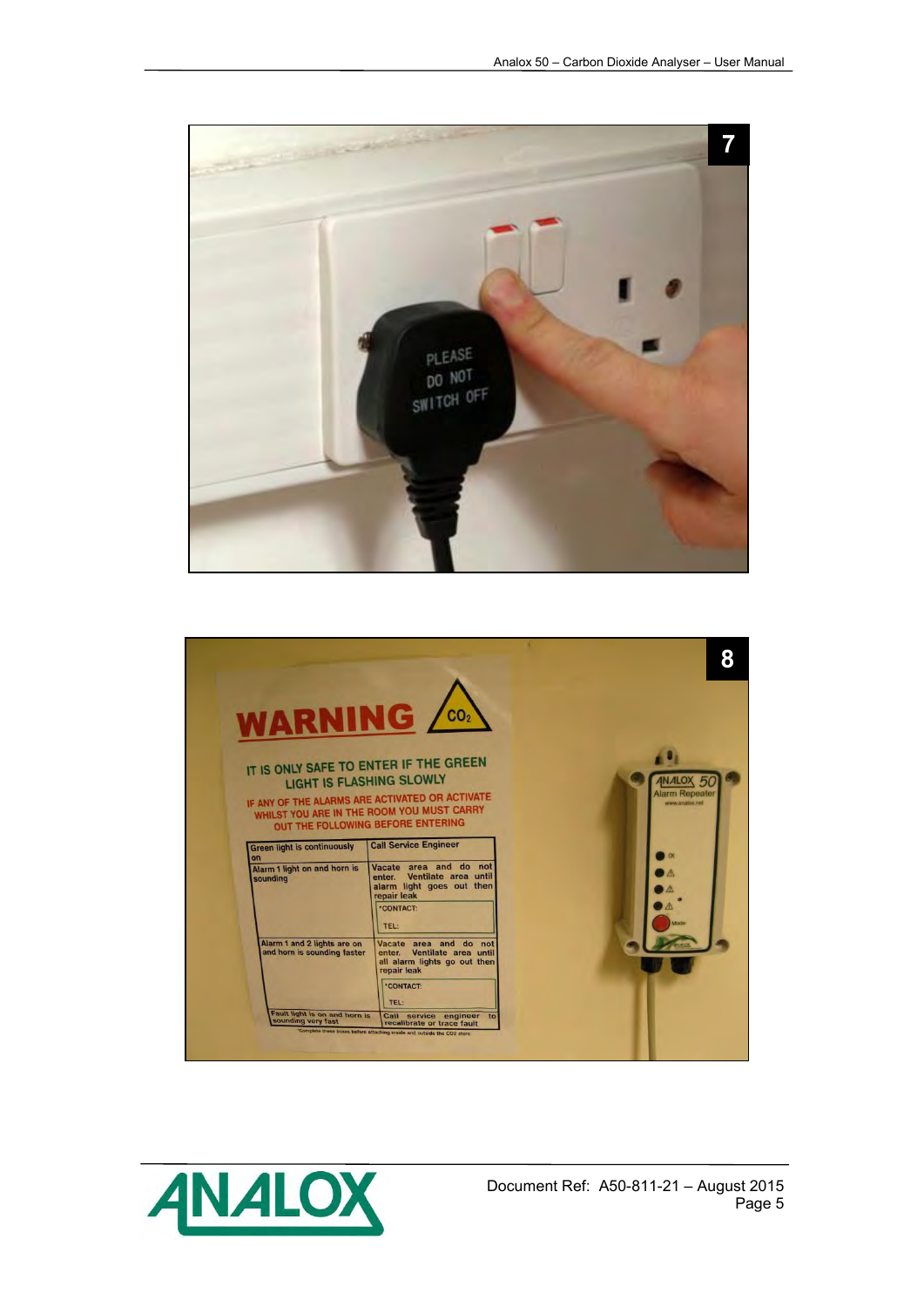



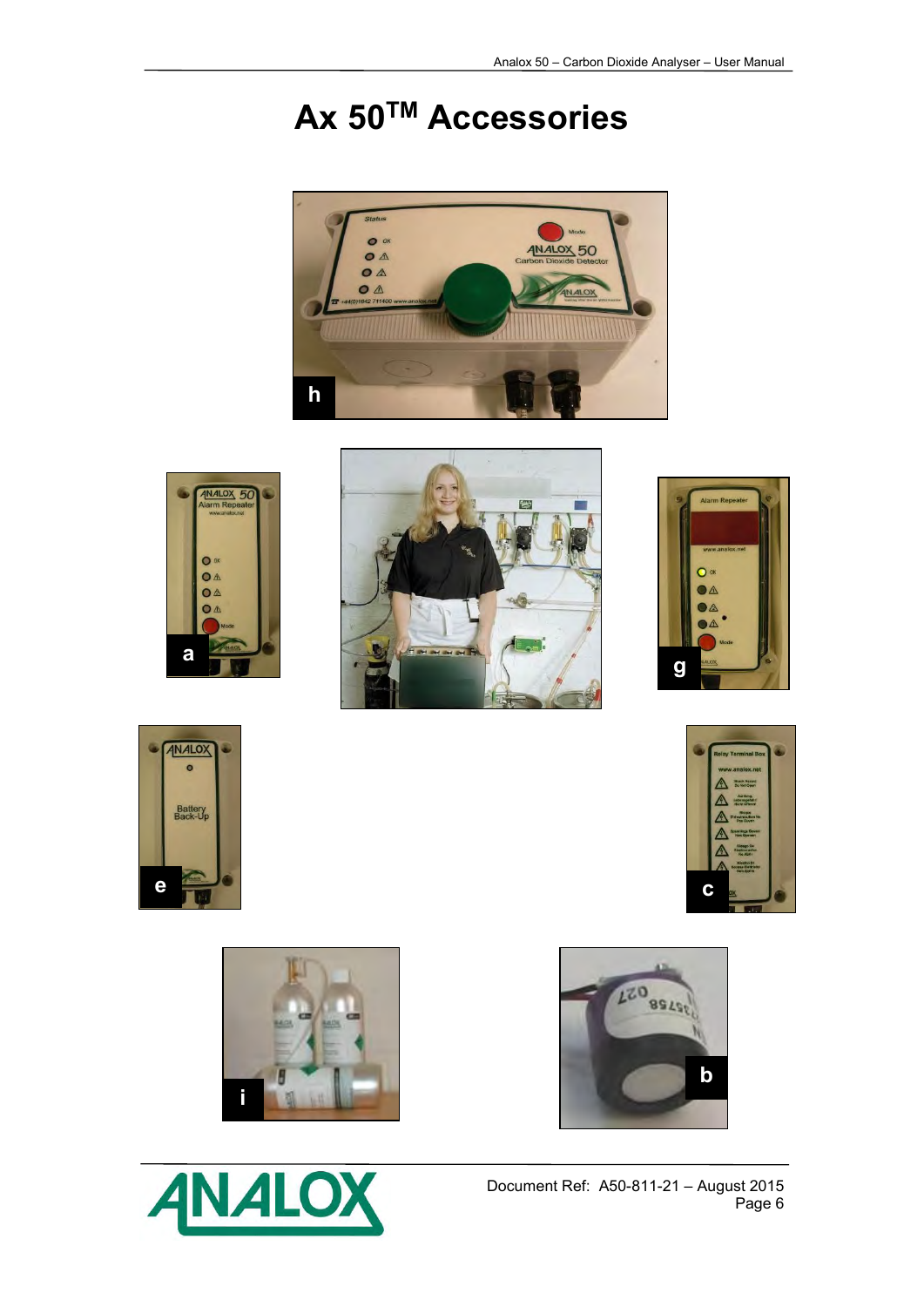# **Ax 50TM Accessories**

















Document Ref: A50-811-21 – August 2015 Page 6

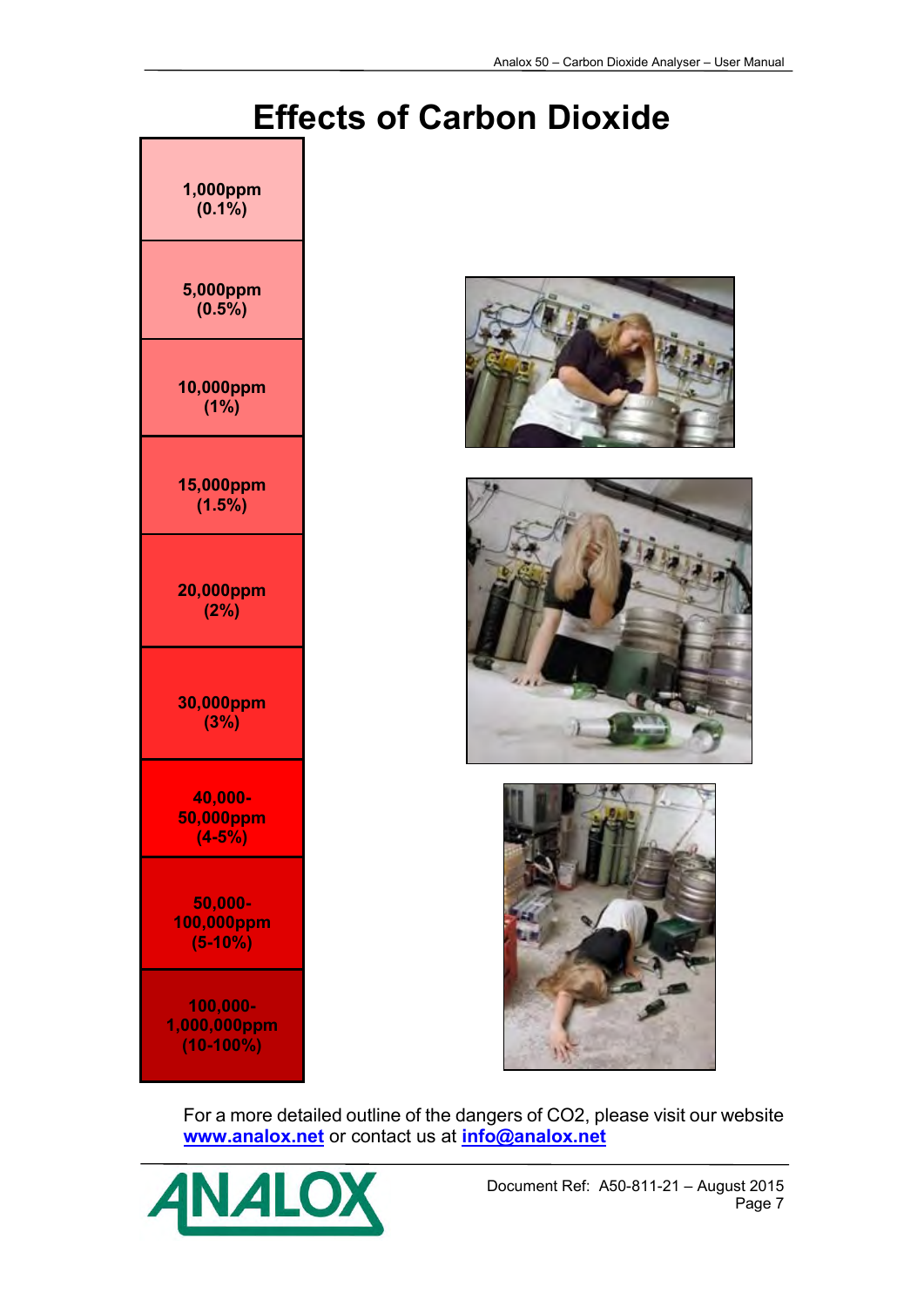

For a more detailed outline of the dangers of CO2, please visit our website **[www.analox.net](http://www.analox.net/)** or contact us at **[info@analox.net](mailto:info@analox.net)**

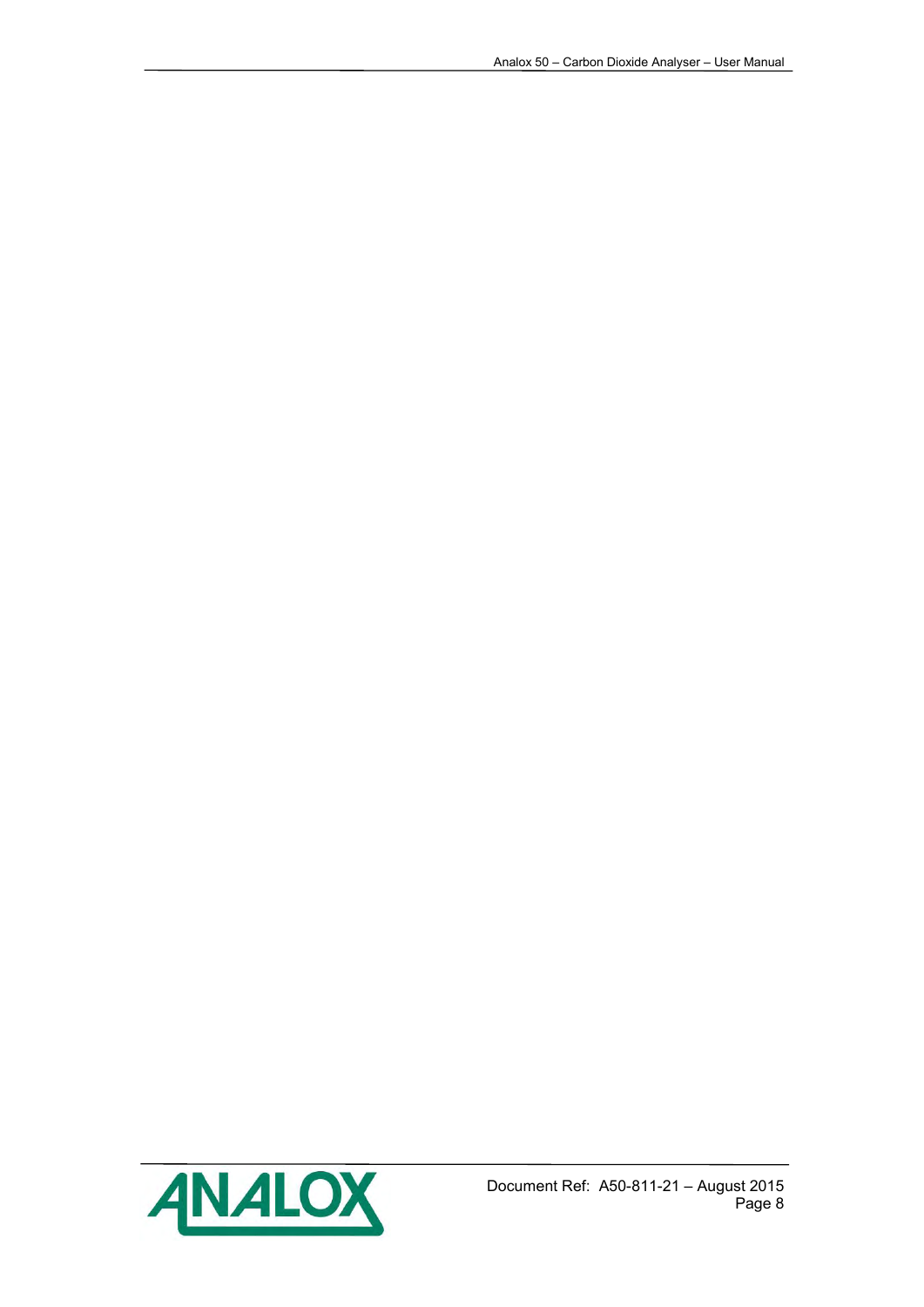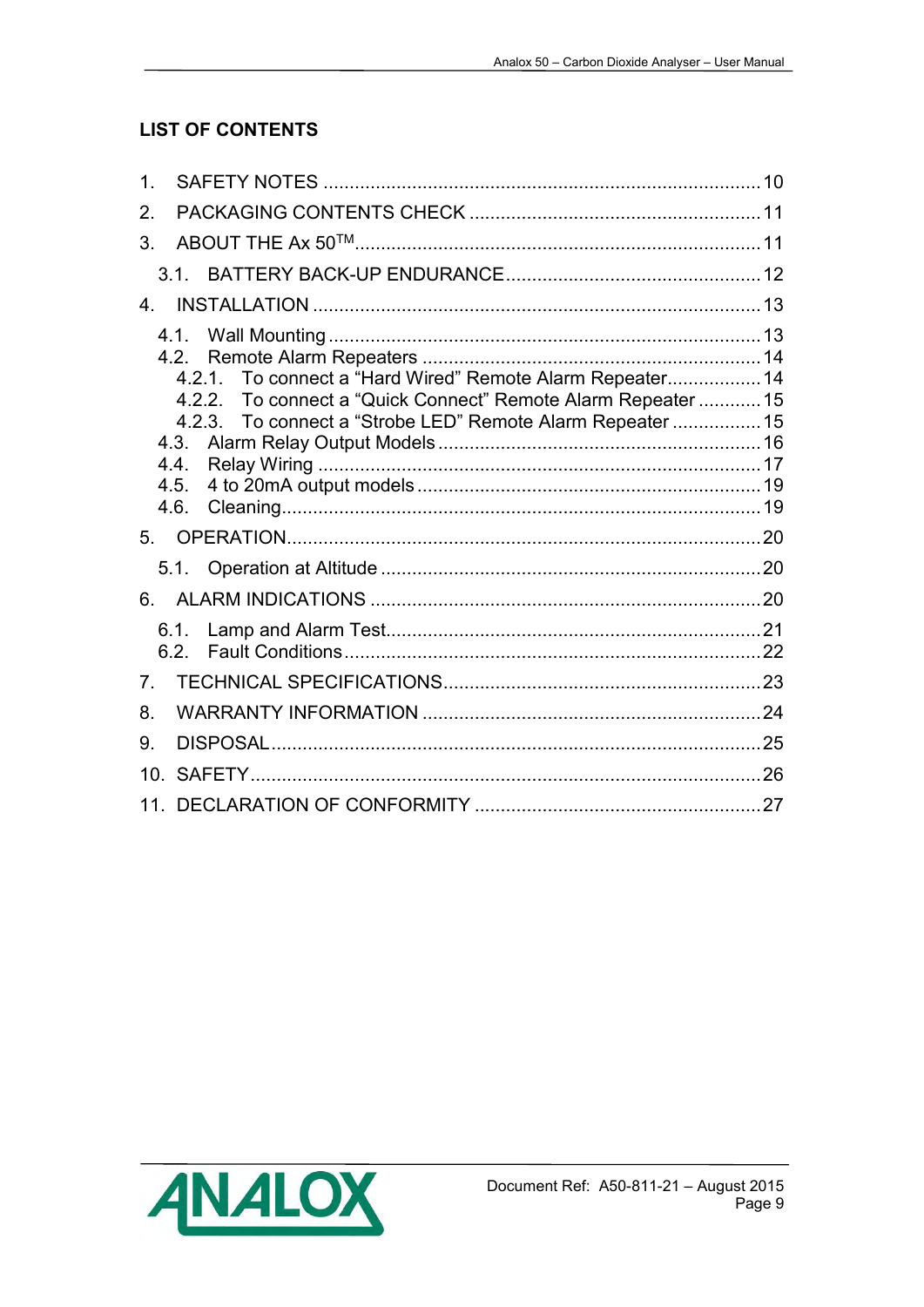## **LIST OF CONTENTS**

| 1.              |                                                                  |  |
|-----------------|------------------------------------------------------------------|--|
| 2.              |                                                                  |  |
| 3.              |                                                                  |  |
|                 |                                                                  |  |
| $\overline{4}$  |                                                                  |  |
|                 | To connect a "Hard Wired" Remote Alarm Repeater 14<br>$4.2.1$ .  |  |
|                 | To connect a "Quick Connect" Remote Alarm Repeater  15<br>4.2.2. |  |
|                 | 4.2.3. To connect a "Strobe LED" Remote Alarm Repeater  15       |  |
|                 | 4.4.                                                             |  |
|                 | 4.5.                                                             |  |
|                 | 4.6.                                                             |  |
| 5 <sub>1</sub>  |                                                                  |  |
|                 |                                                                  |  |
| 6.              |                                                                  |  |
|                 | 6.1.                                                             |  |
| 7 <sub>1</sub>  |                                                                  |  |
| 8.              |                                                                  |  |
| 9.              |                                                                  |  |
| 10 <sub>1</sub> |                                                                  |  |
|                 |                                                                  |  |

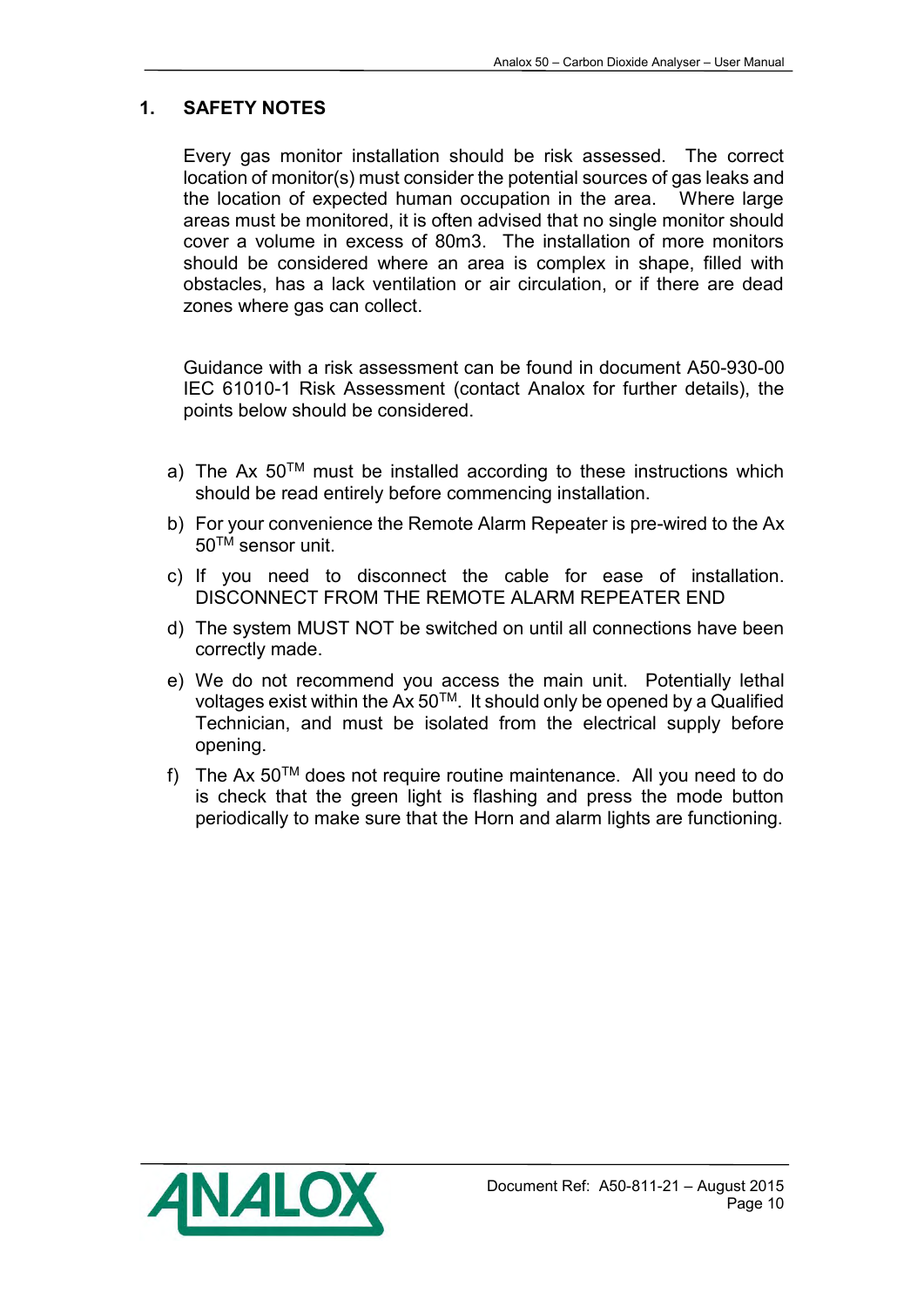#### <span id="page-10-0"></span>**1. SAFETY NOTES**

Every gas monitor installation should be risk assessed. The correct location of monitor(s) must consider the potential sources of gas leaks and the location of expected human occupation in the area. Where large areas must be monitored, it is often advised that no single monitor should cover a volume in excess of 80m3. The installation of more monitors should be considered where an area is complex in shape, filled with obstacles, has a lack ventilation or air circulation, or if there are dead zones where gas can collect.

Guidance with a risk assessment can be found in document A50-930-00 IEC 61010-1 Risk Assessment (contact Analox for further details), the points below should be considered.

- a) The Ax  $50^{TM}$  must be installed according to these instructions which should be read entirely before commencing installation.
- b) For your convenience the Remote Alarm Repeater is pre-wired to the Ax 50<sup>™</sup> sensor unit.
- c) If you need to disconnect the cable for ease of installation. DISCONNECT FROM THE REMOTE ALARM REPEATER END
- d) The system MUST NOT be switched on until all connections have been correctly made.
- e) We do not recommend you access the main unit. Potentially lethal voltages exist within the Ax 50TM. It should only be opened by a Qualified Technician, and must be isolated from the electrical supply before opening.
- f) The Ax  $50^{TM}$  does not require routine maintenance. All you need to do is check that the green light is flashing and press the mode button periodically to make sure that the Horn and alarm lights are functioning.

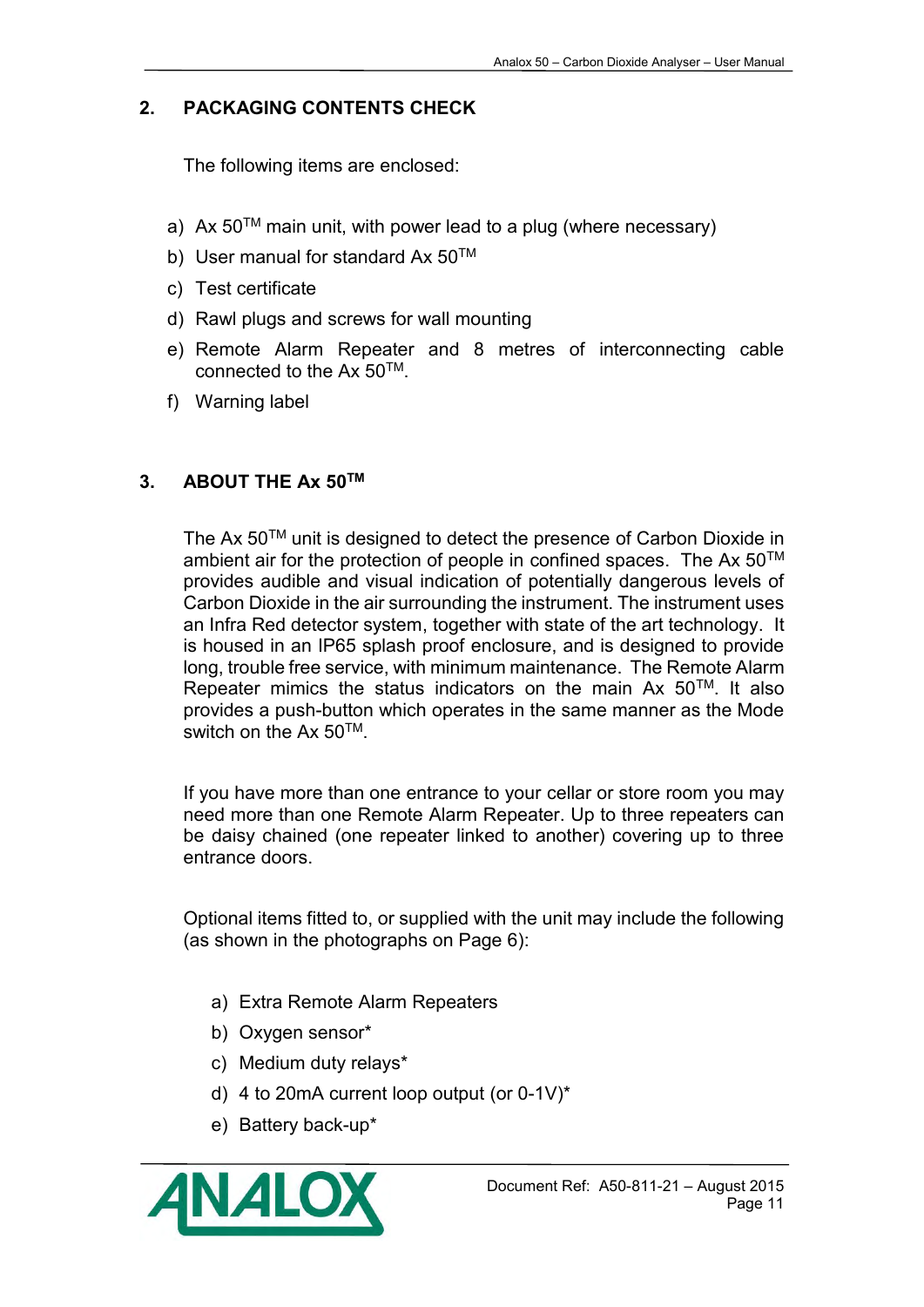### <span id="page-11-0"></span>**2. PACKAGING CONTENTS CHECK**

The following items are enclosed:

- a) Ax  $50^{TM}$  main unit, with power lead to a plug (where necessary)
- b) User manual for standard Ax  $50^{TM}$
- c) Test certificate
- d) Rawl plugs and screws for wall mounting
- e) Remote Alarm Repeater and 8 metres of interconnecting cable connected to the Ax 50TM.
- f) Warning label

#### <span id="page-11-1"></span>**3. ABOUT THE Ax 50TM**

The Ax 50<sup>™</sup> unit is designed to detect the presence of Carbon Dioxide in ambient air for the protection of people in confined spaces. The Ax  $50^{TM}$ provides audible and visual indication of potentially dangerous levels of Carbon Dioxide in the air surrounding the instrument. The instrument uses an Infra Red detector system, together with state of the art technology. It is housed in an IP65 splash proof enclosure, and is designed to provide long, trouble free service, with minimum maintenance. The Remote Alarm Repeater mimics the status indicators on the main Ax  $50^{TM}$ . It also provides a push-button which operates in the same manner as the Mode switch on the Ax 50™.

If you have more than one entrance to your cellar or store room you may need more than one Remote Alarm Repeater. Up to three repeaters can be daisy chained (one repeater linked to another) covering up to three entrance doors.

Optional items fitted to, or supplied with the unit may include the following (as shown in the photographs on Page 6):

- a) Extra Remote Alarm Repeaters
- b) Oxygen sensor\*
- c) Medium duty relays\*
- d) 4 to 20mA current loop output (or 0-1V)\*
- e) Battery back-up\*

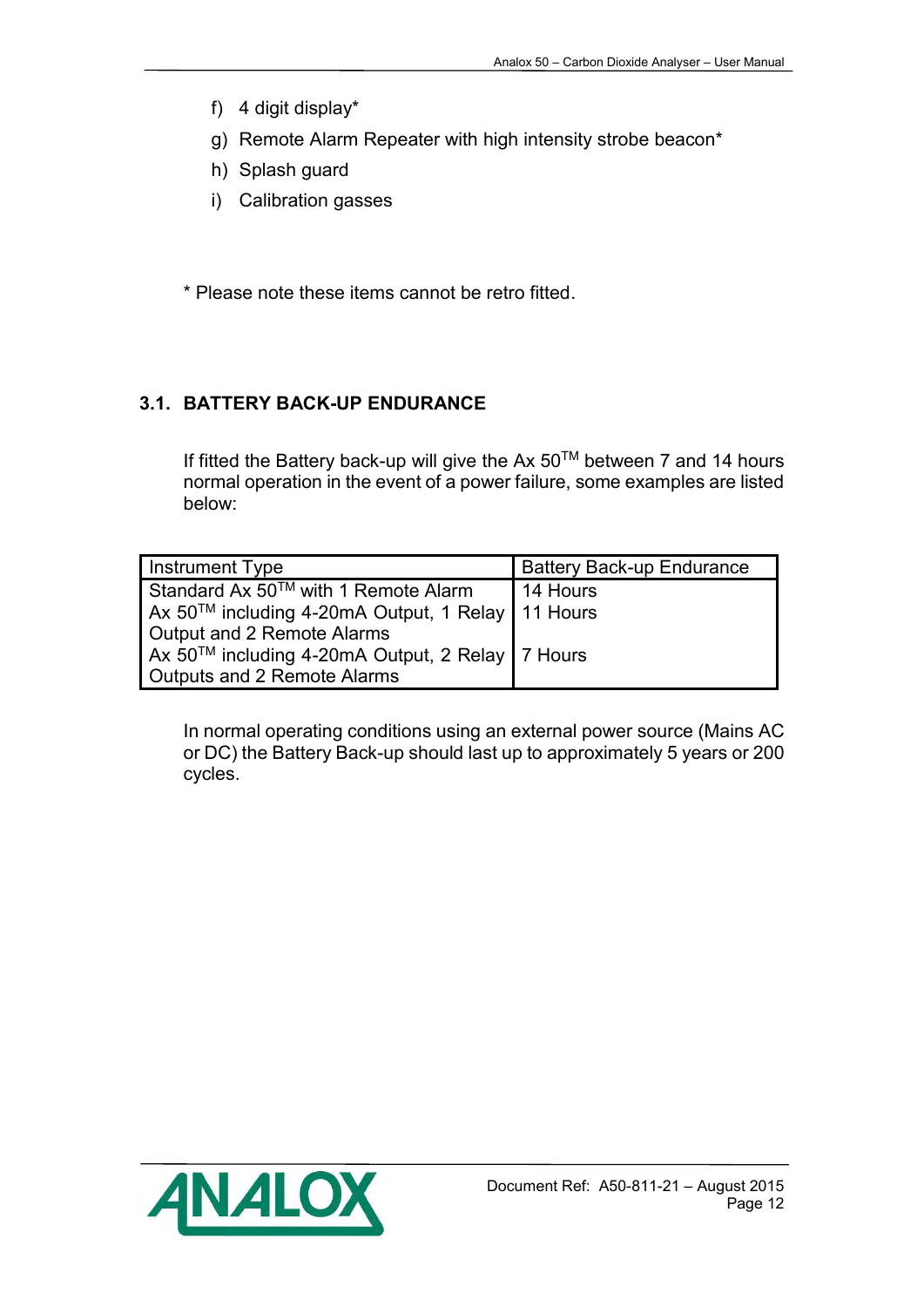- f) 4 digit display\*
- g) Remote Alarm Repeater with high intensity strobe beacon\*
- h) Splash guard
- i) Calibration gasses

\* Please note these items cannot be retro fitted.

## <span id="page-12-0"></span>**3.1. BATTERY BACK-UP ENDURANCE**

If fitted the Battery back-up will give the Ax  $50^{TM}$  between 7 and 14 hours normal operation in the event of a power failure, some examples are listed below:

| Instrument Type                                               | <b>Battery Back-up Endurance</b> |
|---------------------------------------------------------------|----------------------------------|
| Standard Ax 50™ with 1 Remote Alarm                           | 14 Hours                         |
| Ax 50™ including 4-20mA Output, 1 Relay   11 Hours            |                                  |
| Output and 2 Remote Alarms                                    |                                  |
| Ax 50 <sup>™</sup> including 4-20mA Output, 2 Relay   7 Hours |                                  |
| Outputs and 2 Remote Alarms                                   |                                  |

In normal operating conditions using an external power source (Mains AC or DC) the Battery Back-up should last up to approximately 5 years or 200 cycles.

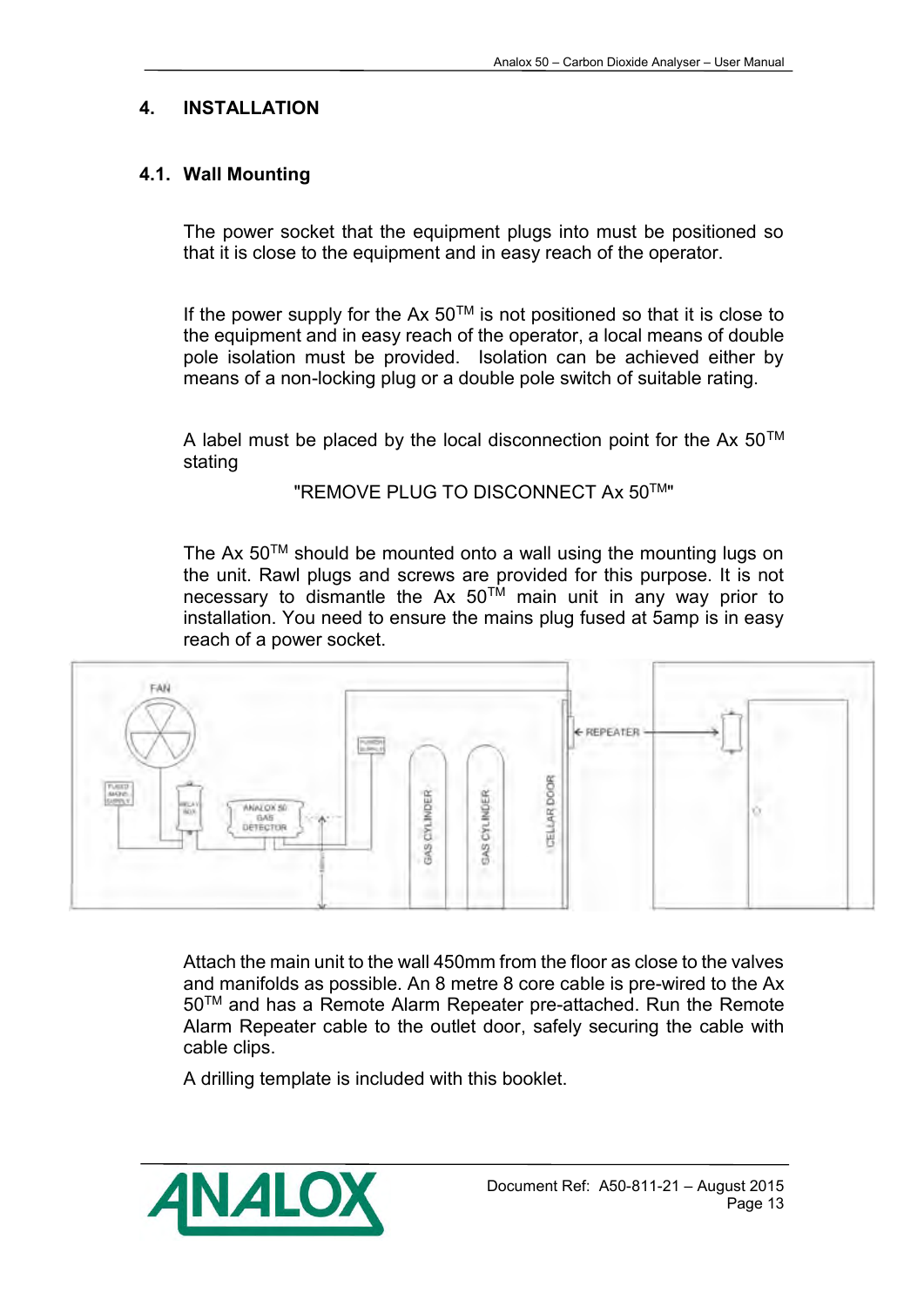### <span id="page-13-0"></span>**4. INSTALLATION**

#### <span id="page-13-1"></span>**4.1. Wall Mounting**

The power socket that the equipment plugs into must be positioned so that it is close to the equipment and in easy reach of the operator.

If the power supply for the Ax  $50^{TM}$  is not positioned so that it is close to the equipment and in easy reach of the operator, a local means of double pole isolation must be provided. Isolation can be achieved either by means of a non-locking plug or a double pole switch of suitable rating.

A label must be placed by the local disconnection point for the Ax  $50^{TM}$ stating

"REMOVE PLUG TO DISCONNECT Ax 50TM"

The Ax  $50^{TM}$  should be mounted onto a wall using the mounting lugs on the unit. Rawl plugs and screws are provided for this purpose. It is not necessary to dismantle the Ax  $50<sup>TM</sup>$  main unit in any way prior to installation. You need to ensure the mains plug fused at 5amp is in easy reach of a power socket.



Attach the main unit to the wall 450mm from the floor as close to the valves and manifolds as possible. An 8 metre 8 core cable is pre-wired to the Ax 50<sup>™</sup> and has a Remote Alarm Repeater pre-attached. Run the Remote Alarm Repeater cable to the outlet door, safely securing the cable with cable clips.

A drilling template is included with this booklet.

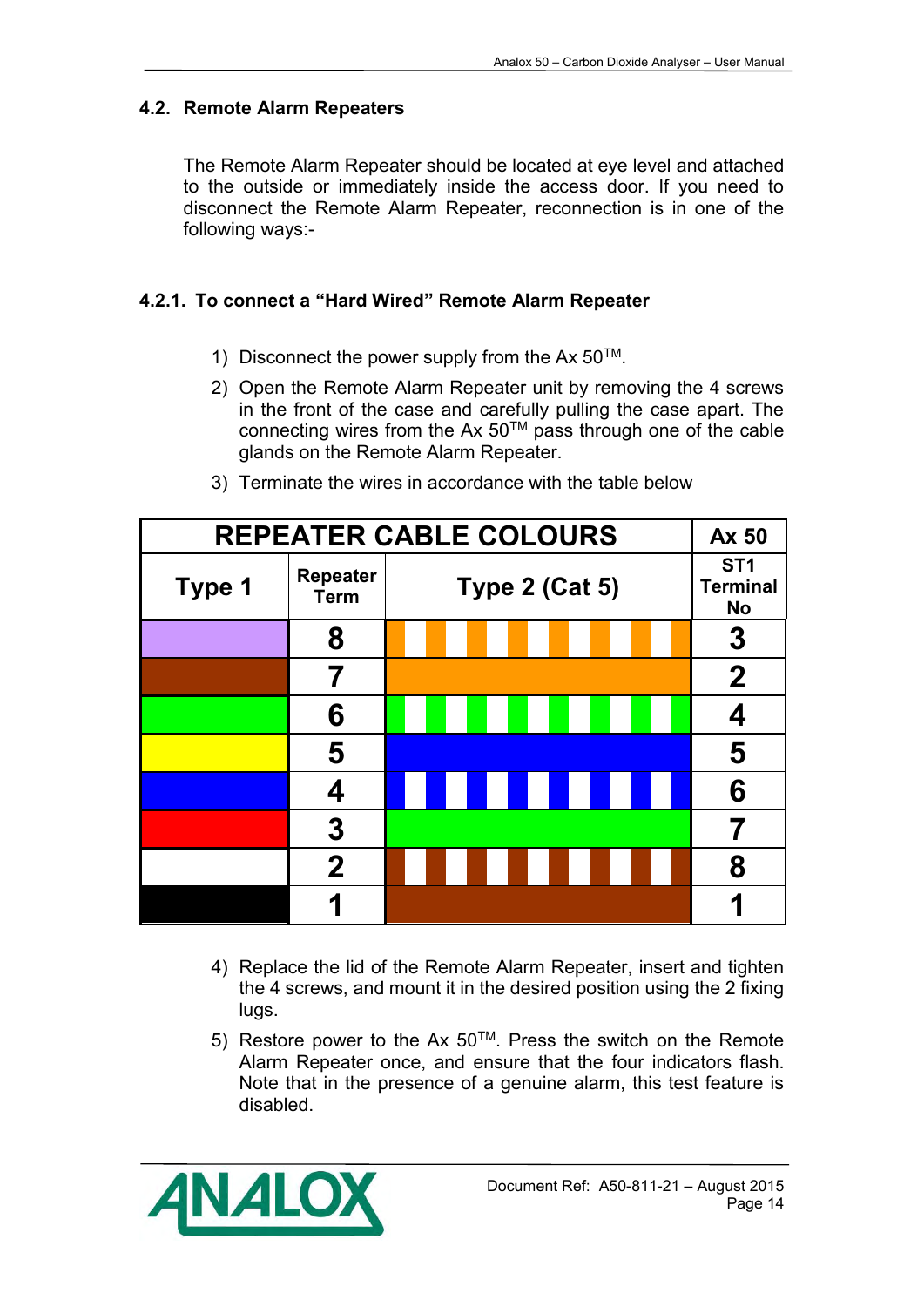### <span id="page-14-0"></span>**4.2. Remote Alarm Repeaters**

The Remote Alarm Repeater should be located at eye level and attached to the outside or immediately inside the access door. If you need to disconnect the Remote Alarm Repeater, reconnection is in one of the following ways:-

## <span id="page-14-1"></span>**4.2.1. To connect a "Hard Wired" Remote Alarm Repeater**

- 1) Disconnect the power supply from the Ax  $50^{TM}$ .
- 2) Open the Remote Alarm Repeater unit by removing the 4 screws in the front of the case and carefully pulling the case apart. The connecting wires from the Ax 50TM pass through one of the cable glands on the Remote Alarm Repeater.

|               |                                | <b>REPEATER CABLE COLOURS</b> | Ax 50                                           |
|---------------|--------------------------------|-------------------------------|-------------------------------------------------|
| <b>Type 1</b> | <b>Repeater</b><br><b>Term</b> | Type 2 (Cat 5)                | ST <sub>1</sub><br><b>Terminal</b><br><b>No</b> |
|               | 8                              |                               | $\bf{3}$                                        |
|               |                                |                               | $\mathbf{2}$                                    |
|               | 6                              |                               |                                                 |
|               | 5                              |                               | 5                                               |
|               |                                |                               | 6                                               |
|               | 3                              |                               |                                                 |
|               | $\overline{2}$                 |                               | 8                                               |
|               |                                |                               |                                                 |

3) Terminate the wires in accordance with the table below

- 4) Replace the lid of the Remote Alarm Repeater, insert and tighten the 4 screws, and mount it in the desired position using the 2 fixing lugs.
- 5) Restore power to the Ax  $50<sup>TM</sup>$ . Press the switch on the Remote Alarm Repeater once, and ensure that the four indicators flash. Note that in the presence of a genuine alarm, this test feature is disabled.

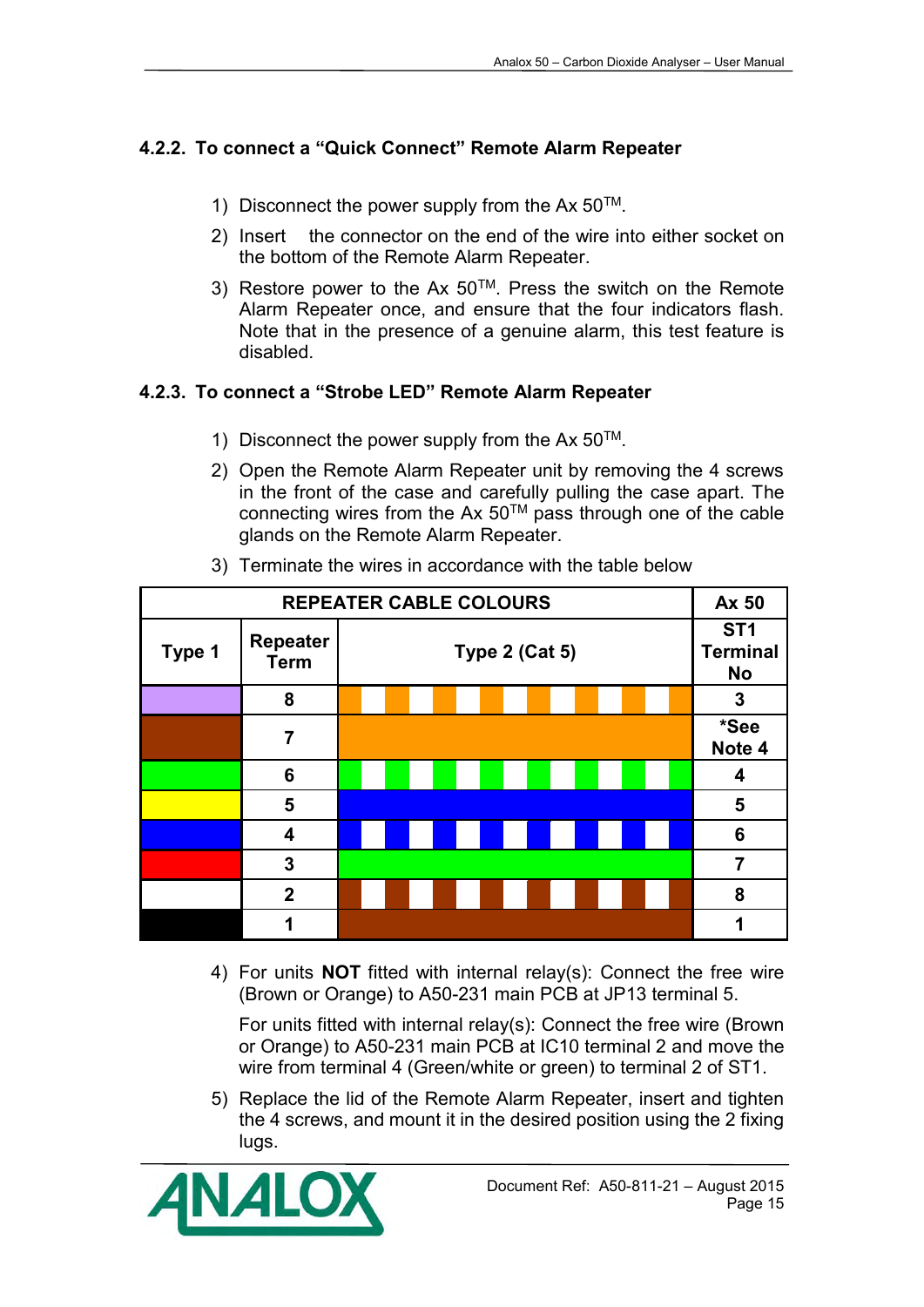## <span id="page-15-0"></span>**4.2.2. To connect a "Quick Connect" Remote Alarm Repeater**

- 1) Disconnect the power supply from the Ax  $50^{TM}$ .
- 2) Insert the connector on the end of the wire into either socket on the bottom of the Remote Alarm Repeater.
- 3) Restore power to the Ax  $50<sup>TM</sup>$ . Press the switch on the Remote Alarm Repeater once, and ensure that the four indicators flash. Note that in the presence of a genuine alarm, this test feature is disabled.

## <span id="page-15-1"></span>**4.2.3. To connect a "Strobe LED" Remote Alarm Repeater**

- 1) Disconnect the power supply from the Ax  $50^{TM}$ .
- 2) Open the Remote Alarm Repeater unit by removing the 4 screws in the front of the case and carefully pulling the case apart. The connecting wires from the Ax  $50^{TM}$  pass through one of the cable glands on the Remote Alarm Repeater.

|        |                                | <b>REPEATER CABLE COLOURS</b> | Ax 50                                           |
|--------|--------------------------------|-------------------------------|-------------------------------------------------|
| Type 1 | <b>Repeater</b><br><b>Term</b> | Type 2 (Cat 5)                | ST <sub>1</sub><br><b>Terminal</b><br><b>No</b> |
|        | 8                              |                               | 3                                               |
|        | $\overline{7}$                 |                               | *See<br>Note 4                                  |
|        | 6                              |                               | 4                                               |
|        | 5                              |                               | 5                                               |
|        | 4                              |                               | 6                                               |
|        | 3                              |                               |                                                 |
|        | $\mathbf 2$                    |                               | 8                                               |
|        |                                |                               |                                                 |

3) Terminate the wires in accordance with the table below

4) For units **NOT** fitted with internal relay(s): Connect the free wire (Brown or Orange) to A50-231 main PCB at JP13 terminal 5.

For units fitted with internal relay(s): Connect the free wire (Brown or Orange) to A50-231 main PCB at IC10 terminal 2 and move the wire from terminal 4 (Green/white or green) to terminal 2 of ST1.

5) Replace the lid of the Remote Alarm Repeater, insert and tighten the 4 screws, and mount it in the desired position using the 2 fixing lugs.

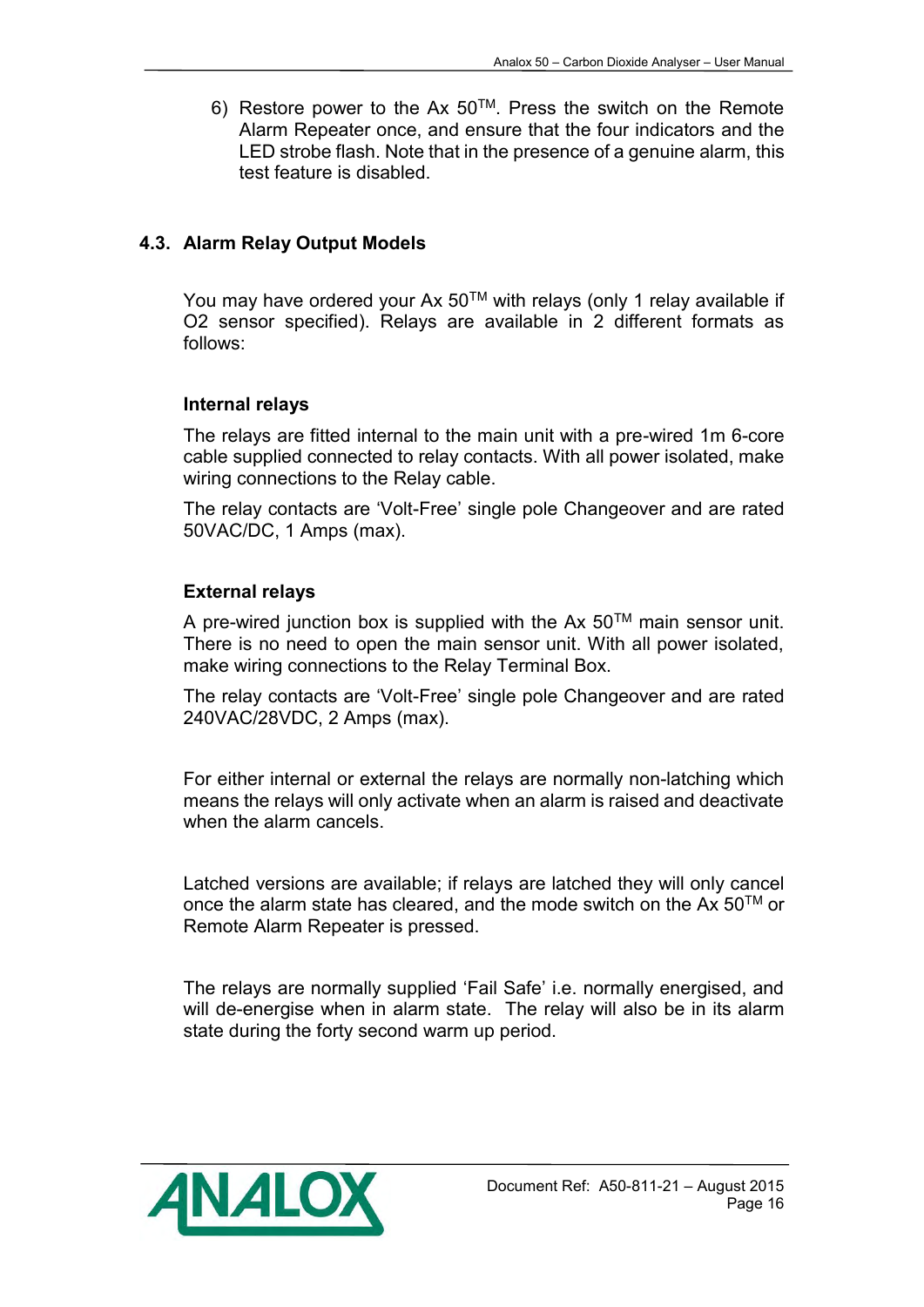6) Restore power to the Ax  $50<sup>TM</sup>$ . Press the switch on the Remote Alarm Repeater once, and ensure that the four indicators and the LED strobe flash. Note that in the presence of a genuine alarm, this test feature is disabled.

#### <span id="page-16-0"></span>**4.3. Alarm Relay Output Models**

You may have ordered your Ax 50™ with relays (only 1 relay available if O2 sensor specified). Relays are available in 2 different formats as follows:

#### **Internal relays**

The relays are fitted internal to the main unit with a pre-wired 1m 6-core cable supplied connected to relay contacts. With all power isolated, make wiring connections to the Relay cable.

The relay contacts are 'Volt-Free' single pole Changeover and are rated 50VAC/DC, 1 Amps (max).

#### **External relays**

A pre-wired junction box is supplied with the Ax  $50^{TM}$  main sensor unit. There is no need to open the main sensor unit. With all power isolated, make wiring connections to the Relay Terminal Box.

The relay contacts are 'Volt-Free' single pole Changeover and are rated 240VAC/28VDC, 2 Amps (max).

For either internal or external the relays are normally non-latching which means the relays will only activate when an alarm is raised and deactivate when the alarm cancels.

Latched versions are available; if relays are latched they will only cancel once the alarm state has cleared, and the mode switch on the Ax  $50^{TM}$  or Remote Alarm Repeater is pressed.

The relays are normally supplied 'Fail Safe' i.e. normally energised, and will de-energise when in alarm state. The relay will also be in its alarm state during the forty second warm up period.

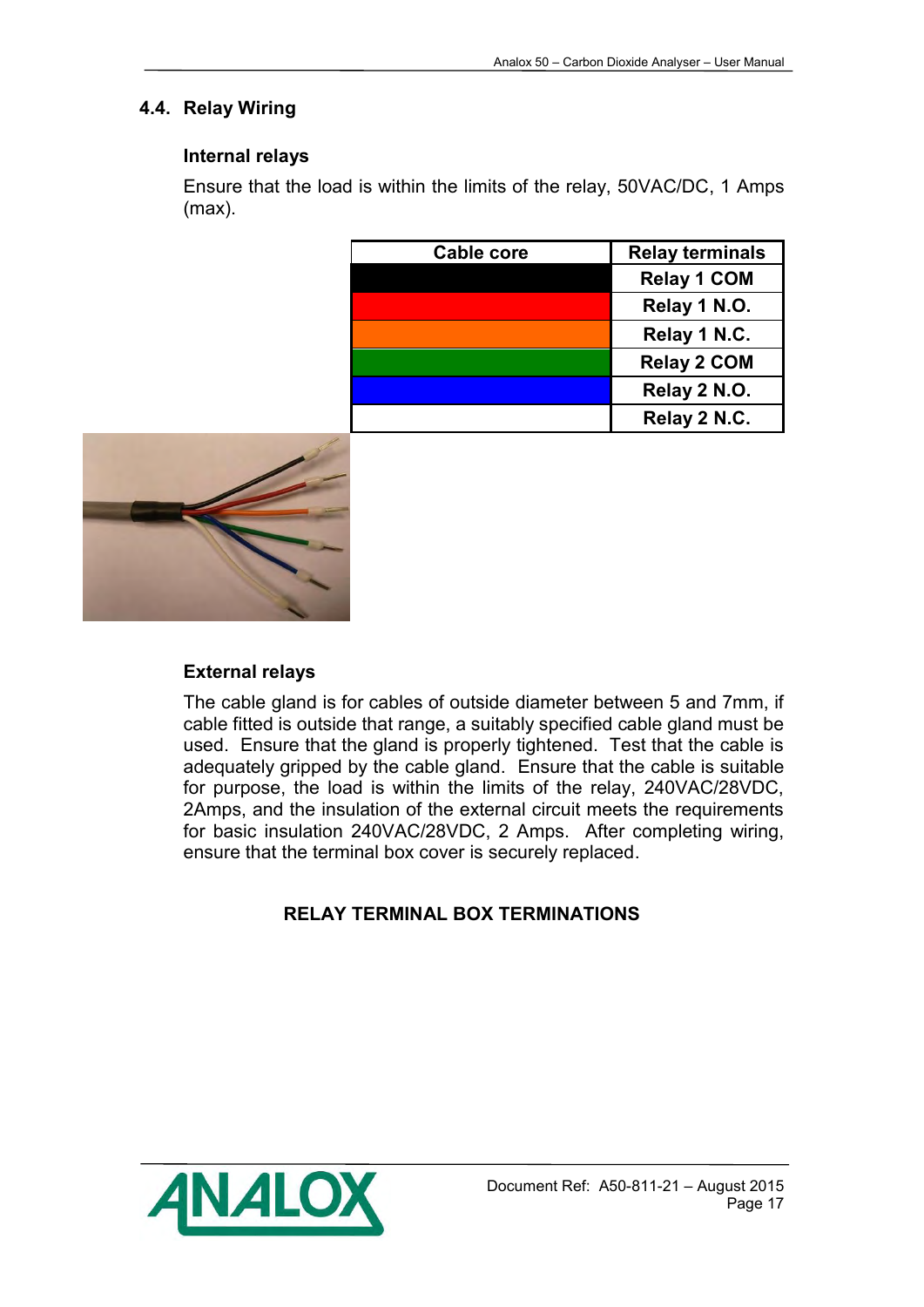### <span id="page-17-0"></span>**4.4. Relay Wiring**

#### **Internal relays**

Ensure that the load is within the limits of the relay, 50VAC/DC, 1 Amps (max).

| <b>Cable core</b> | <b>Relay terminals</b> |
|-------------------|------------------------|
|                   | <b>Relay 1 COM</b>     |
|                   | Relay 1 N.O.           |
|                   | Relay 1 N.C.           |
|                   | <b>Relay 2 COM</b>     |
|                   | Relay 2 N.O.           |
|                   | Relay 2 N.C.           |



#### **External relays**

The cable gland is for cables of outside diameter between 5 and 7mm, if cable fitted is outside that range, a suitably specified cable gland must be used. Ensure that the gland is properly tightened. Test that the cable is adequately gripped by the cable gland. Ensure that the cable is suitable for purpose, the load is within the limits of the relay, 240VAC/28VDC, 2Amps, and the insulation of the external circuit meets the requirements for basic insulation 240VAC/28VDC, 2 Amps. After completing wiring, ensure that the terminal box cover is securely replaced.

#### **RELAY TERMINAL BOX TERMINATIONS**

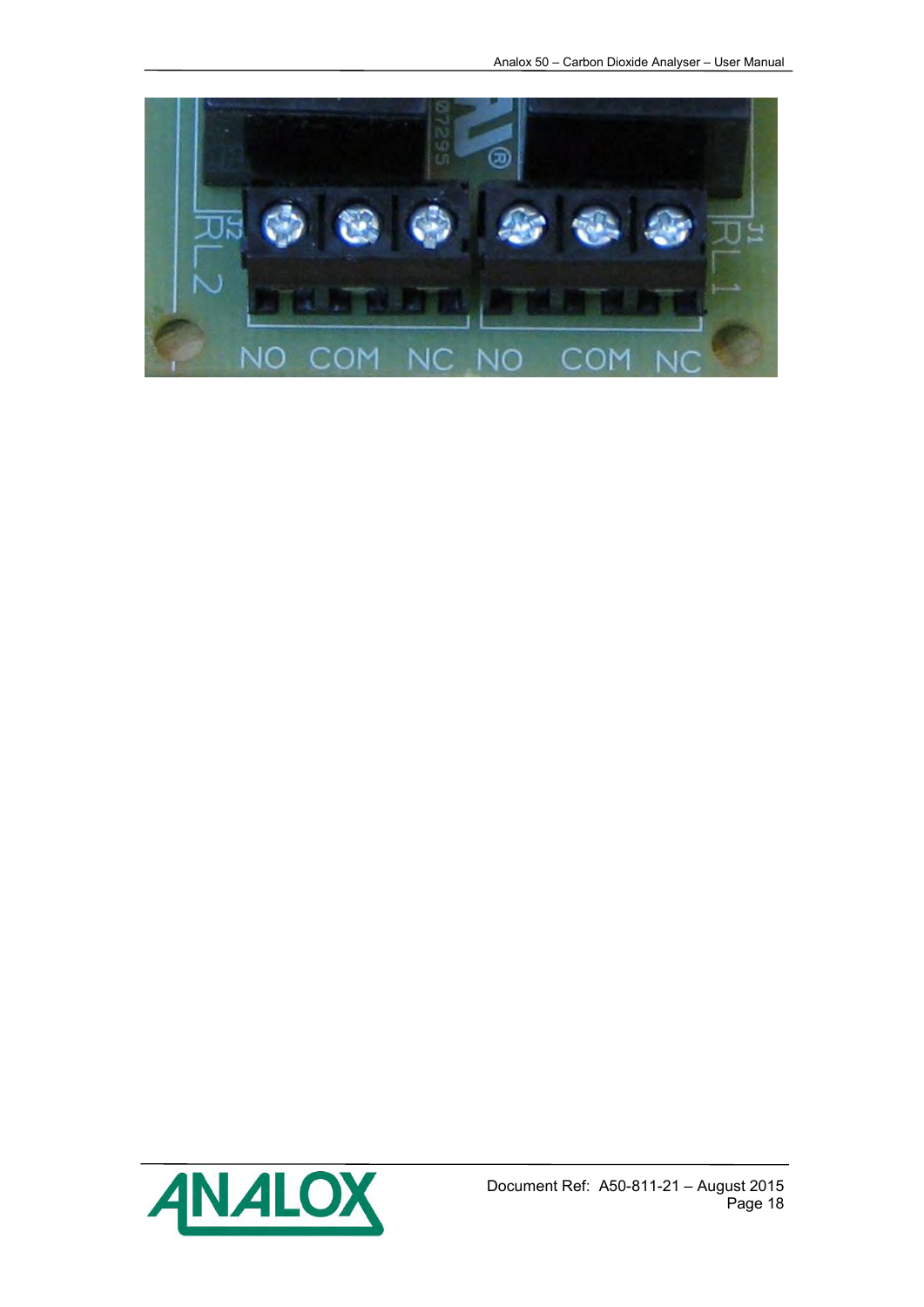

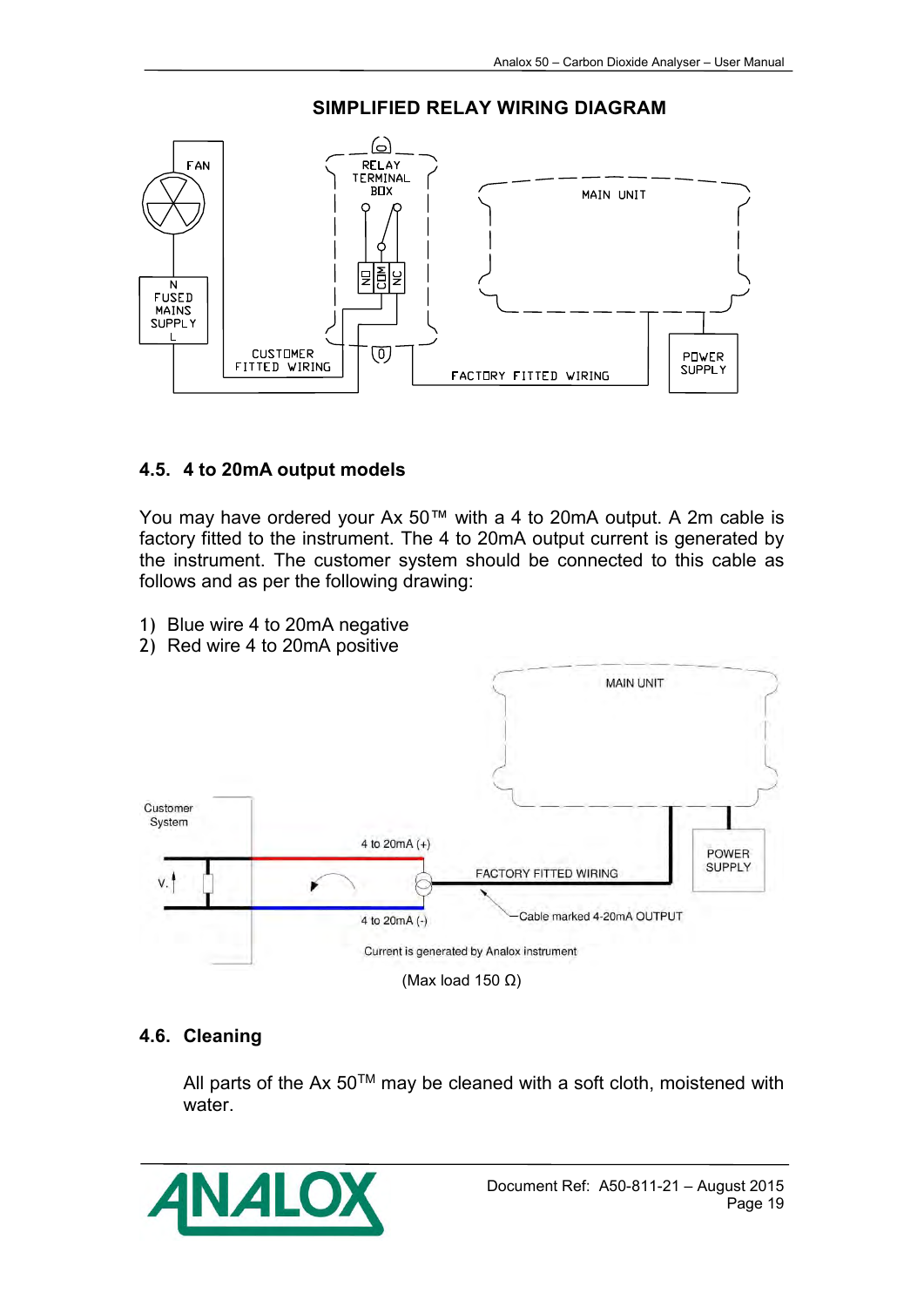

#### **SIMPLIFIED RELAY WIRING DIAGRAM**

#### <span id="page-19-0"></span>**4.5. 4 to 20mA output models**

You may have ordered your Ax 50™ with a 4 to 20mA output. A 2m cable is factory fitted to the instrument. The 4 to 20mA output current is generated by the instrument. The customer system should be connected to this cable as follows and as per the following drawing:

- 1) Blue wire 4 to 20mA negative
- 2) Red wire 4 to 20mA positive



#### <span id="page-19-1"></span>**4.6. Cleaning**

All parts of the Ax 50™ may be cleaned with a soft cloth, moistened with water.

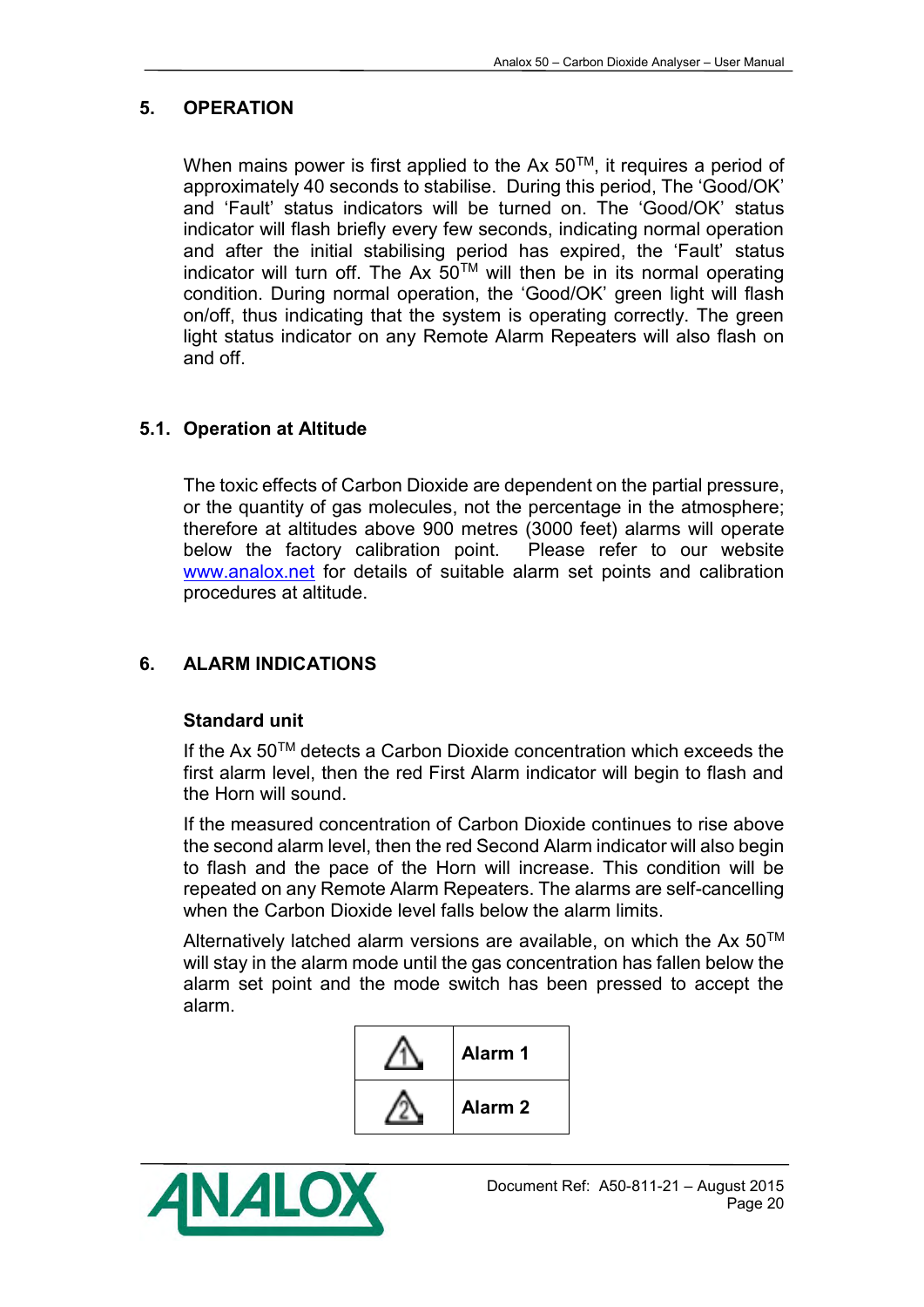## <span id="page-20-0"></span>**5. OPERATION**

When mains power is first applied to the Ax 50™, it requires a period of approximately 40 seconds to stabilise. During this period, The 'Good/OK' and 'Fault' status indicators will be turned on. The 'Good/OK' status indicator will flash briefly every few seconds, indicating normal operation and after the initial stabilising period has expired, the 'Fault' status indicator will turn off. The Ax  $50^{TM}$  will then be in its normal operating condition. During normal operation, the 'Good/OK' green light will flash on/off, thus indicating that the system is operating correctly. The green light status indicator on any Remote Alarm Repeaters will also flash on and off.

## <span id="page-20-1"></span>**5.1. Operation at Altitude**

The toxic effects of Carbon Dioxide are dependent on the partial pressure, or the quantity of gas molecules, not the percentage in the atmosphere; therefore at altitudes above 900 metres (3000 feet) alarms will operate below the factory calibration point. Please refer to our website [www.analox.net](http://www.analox.net/) for details of suitable alarm set points and calibration procedures at altitude.

## <span id="page-20-2"></span>**6. ALARM INDICATIONS**

## **Standard unit**

If the  $Ax 50<sup>TM</sup>$  detects a Carbon Dioxide concentration which exceeds the first alarm level, then the red First Alarm indicator will begin to flash and the Horn will sound.

If the measured concentration of Carbon Dioxide continues to rise above the second alarm level, then the red Second Alarm indicator will also begin to flash and the pace of the Horn will increase. This condition will be repeated on any Remote Alarm Repeaters. The alarms are self-cancelling when the Carbon Dioxide level falls below the alarm limits.

Alternatively latched alarm versions are available, on which the Ax  $50^{TM}$ will stay in the alarm mode until the gas concentration has fallen below the alarm set point and the mode switch has been pressed to accept the alarm.



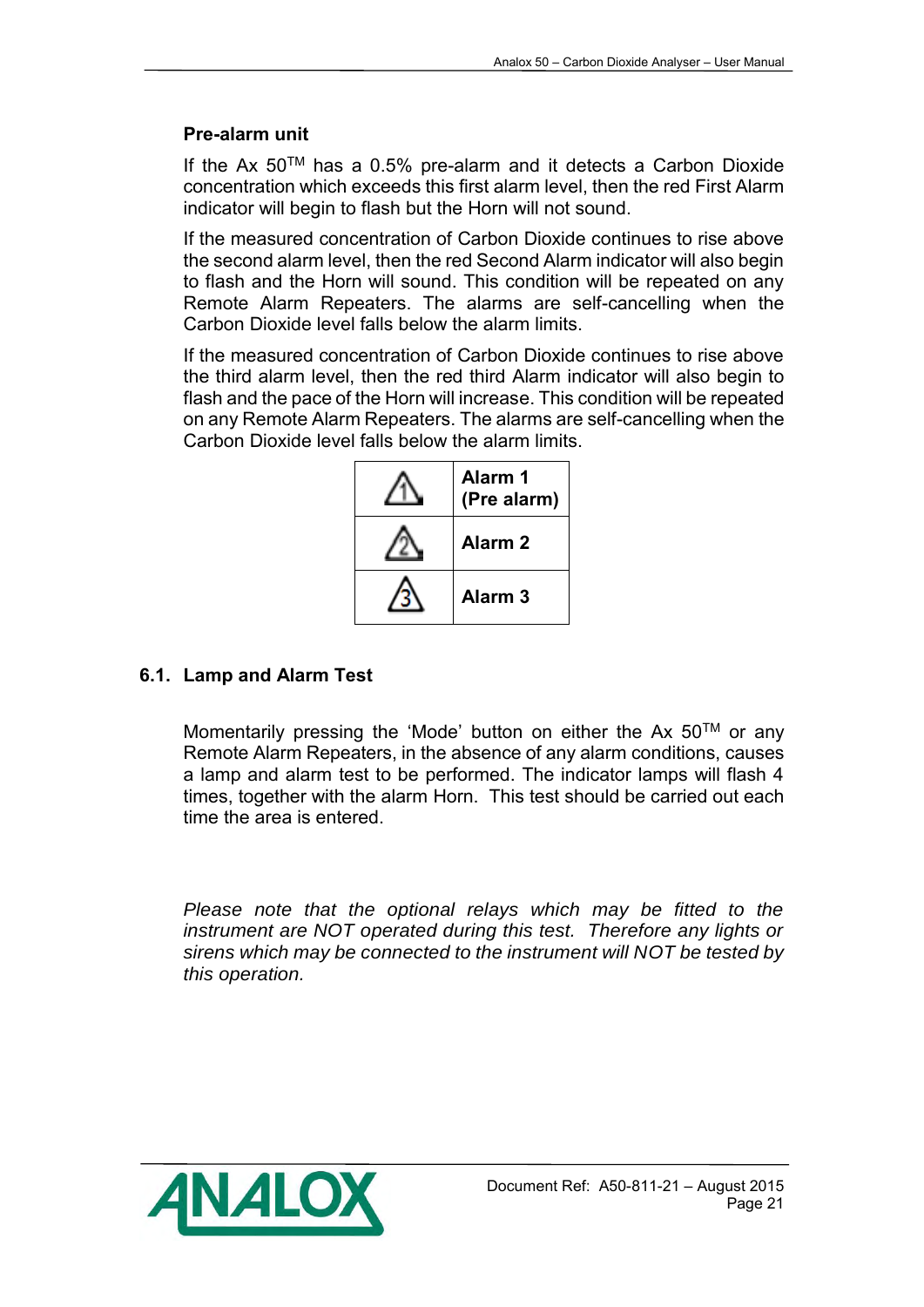#### **Pre-alarm unit**

If the Ax  $50^{TM}$  has a 0.5% pre-alarm and it detects a Carbon Dioxide concentration which exceeds this first alarm level, then the red First Alarm indicator will begin to flash but the Horn will not sound.

If the measured concentration of Carbon Dioxide continues to rise above the second alarm level, then the red Second Alarm indicator will also begin to flash and the Horn will sound. This condition will be repeated on any Remote Alarm Repeaters. The alarms are self-cancelling when the Carbon Dioxide level falls below the alarm limits.

If the measured concentration of Carbon Dioxide continues to rise above the third alarm level, then the red third Alarm indicator will also begin to flash and the pace of the Horn will increase. This condition will be repeated on any Remote Alarm Repeaters. The alarms are self-cancelling when the Carbon Dioxide level falls below the alarm limits.

| Alarm 1<br>(Pre alarm) |
|------------------------|
| Alarm <sub>2</sub>     |
| Alarm <sub>3</sub>     |

#### <span id="page-21-0"></span>**6.1. Lamp and Alarm Test**

Momentarily pressing the 'Mode' button on either the Ax  $50^{TM}$  or any Remote Alarm Repeaters, in the absence of any alarm conditions, causes a lamp and alarm test to be performed. The indicator lamps will flash 4 times, together with the alarm Horn. This test should be carried out each time the area is entered.

*Please note that the optional relays which may be fitted to the instrument are NOT operated during this test. Therefore any lights or sirens which may be connected to the instrument will NOT be tested by this operation.*

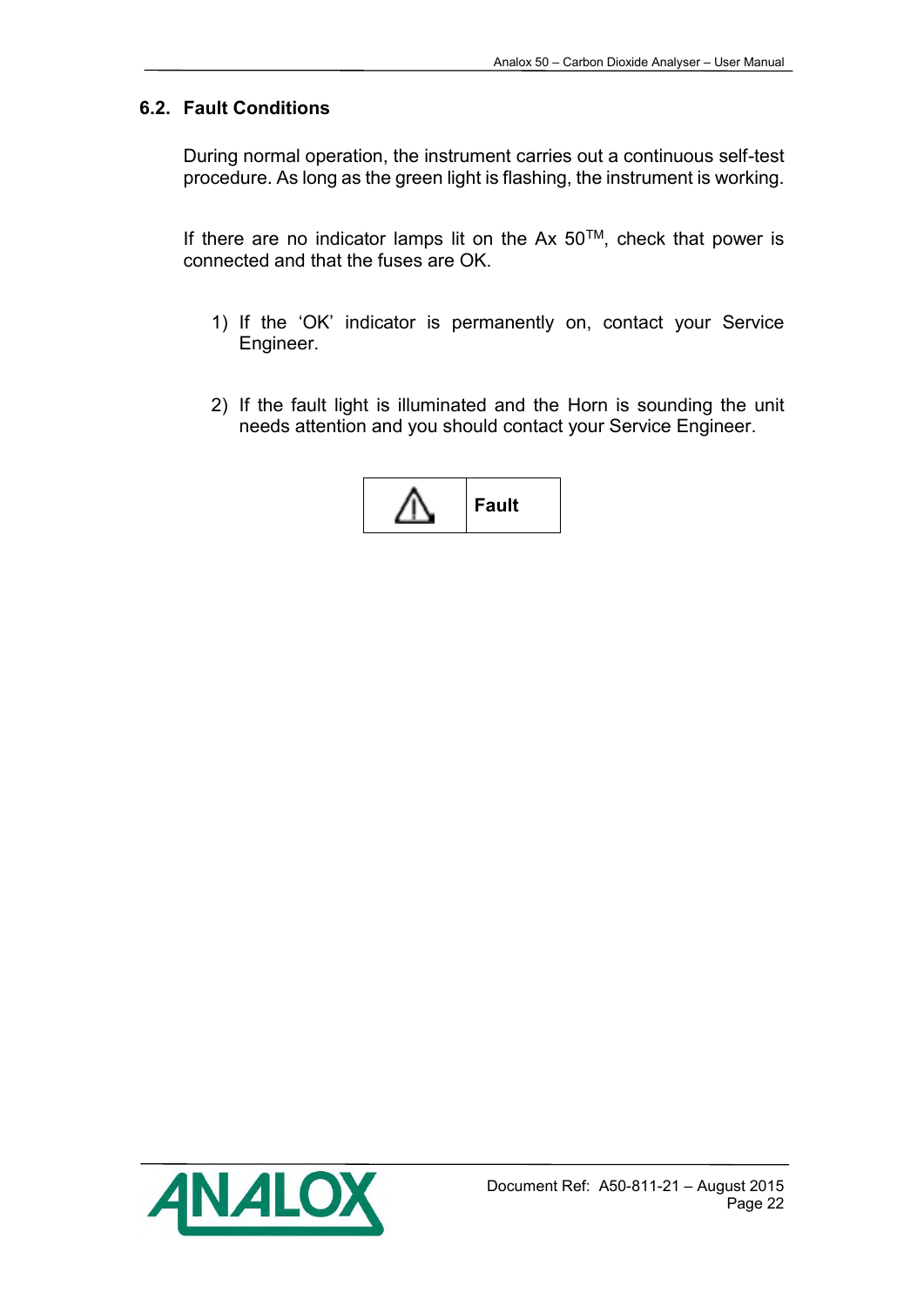#### <span id="page-22-0"></span>**6.2. Fault Conditions**

During normal operation, the instrument carries out a continuous self-test procedure. As long as the green light is flashing, the instrument is working.

If there are no indicator lamps lit on the Ax  $50^{TM}$ , check that power is connected and that the fuses are OK.

- 1) If the 'OK' indicator is permanently on, contact your Service Engineer.
- 2) If the fault light is illuminated and the Horn is sounding the unit needs attention and you should contact your Service Engineer.



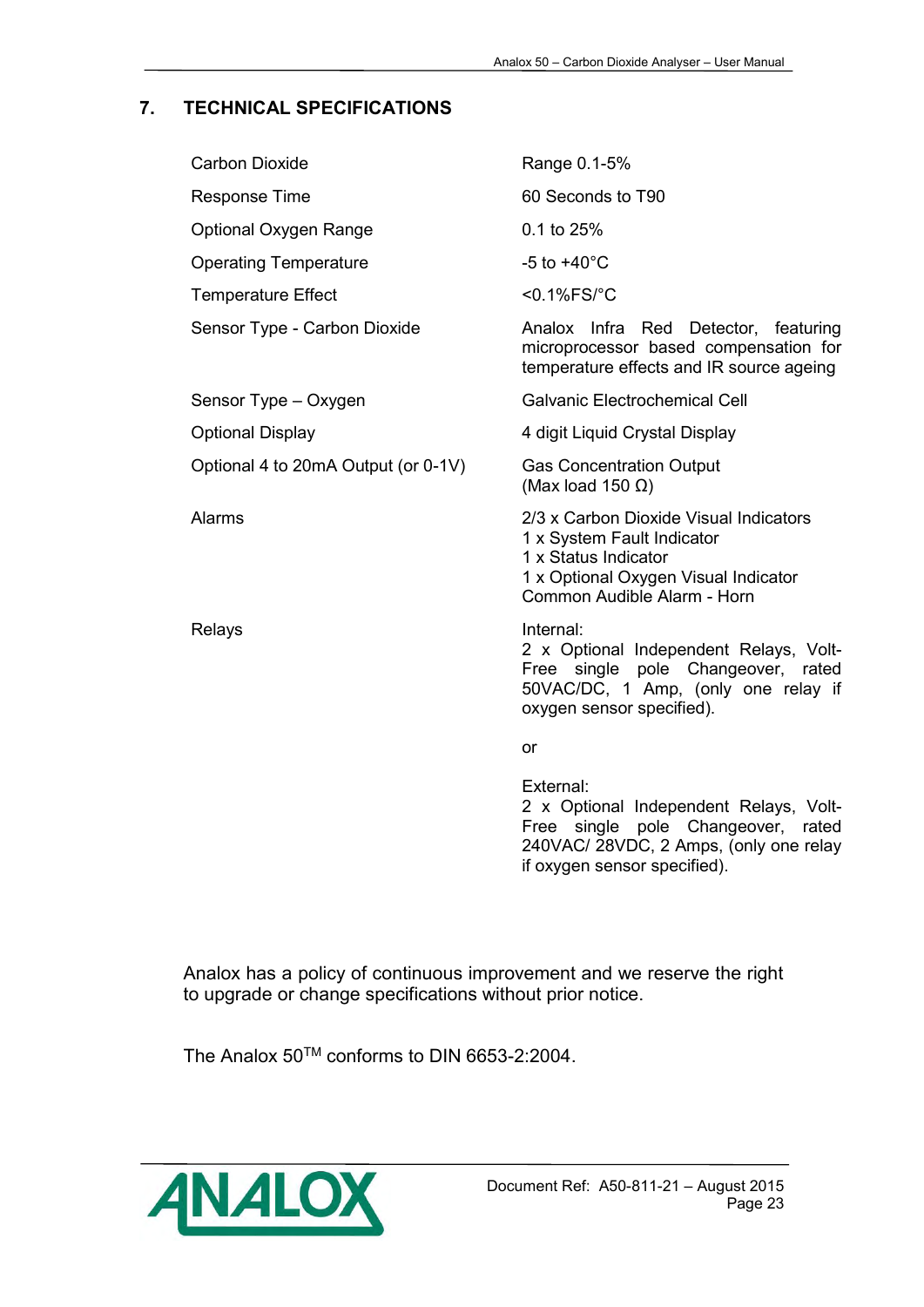### <span id="page-23-0"></span>**7. TECHNICAL SPECIFICATIONS**

| <b>Carbon Dioxide</b>               | Range 0.1-5%                                                                                                                                                          |
|-------------------------------------|-----------------------------------------------------------------------------------------------------------------------------------------------------------------------|
| <b>Response Time</b>                | 60 Seconds to T90                                                                                                                                                     |
| Optional Oxygen Range               | 0.1 to 25%                                                                                                                                                            |
| <b>Operating Temperature</b>        | -5 to $+40^{\circ}$ C                                                                                                                                                 |
| <b>Temperature Effect</b>           | $<$ 0.1% $FS$ /°C                                                                                                                                                     |
| Sensor Type - Carbon Dioxide        | Analox Infra Red Detector, featuring<br>microprocessor based compensation for<br>temperature effects and IR source ageing                                             |
| Sensor Type - Oxygen                | <b>Galvanic Electrochemical Cell</b>                                                                                                                                  |
| <b>Optional Display</b>             | 4 digit Liquid Crystal Display                                                                                                                                        |
| Optional 4 to 20mA Output (or 0-1V) | <b>Gas Concentration Output</b><br>(Max load 150 $\Omega$ )                                                                                                           |
| Alarms                              | 2/3 x Carbon Dioxide Visual Indicators<br>1 x System Fault Indicator<br>1 x Status Indicator<br>1 x Optional Oxygen Visual Indicator<br>Common Audible Alarm - Horn   |
| Relays                              | Internal:<br>2 x Optional Independent Relays, Volt-<br>Free single pole Changeover, rated<br>50VAC/DC, 1 Amp, (only one relay if<br>oxygen sensor specified).         |
|                                     | or                                                                                                                                                                    |
|                                     | External:<br>2 x Optional Independent Relays, Volt-<br>single pole Changeover, rated<br>Free<br>240VAC/28VDC, 2 Amps, (only one relay<br>if oxygen sensor specified). |

Analox has a policy of continuous improvement and we reserve the right to upgrade or change specifications without prior notice.

The Analox 50TM conforms to DIN 6653-2:2004.

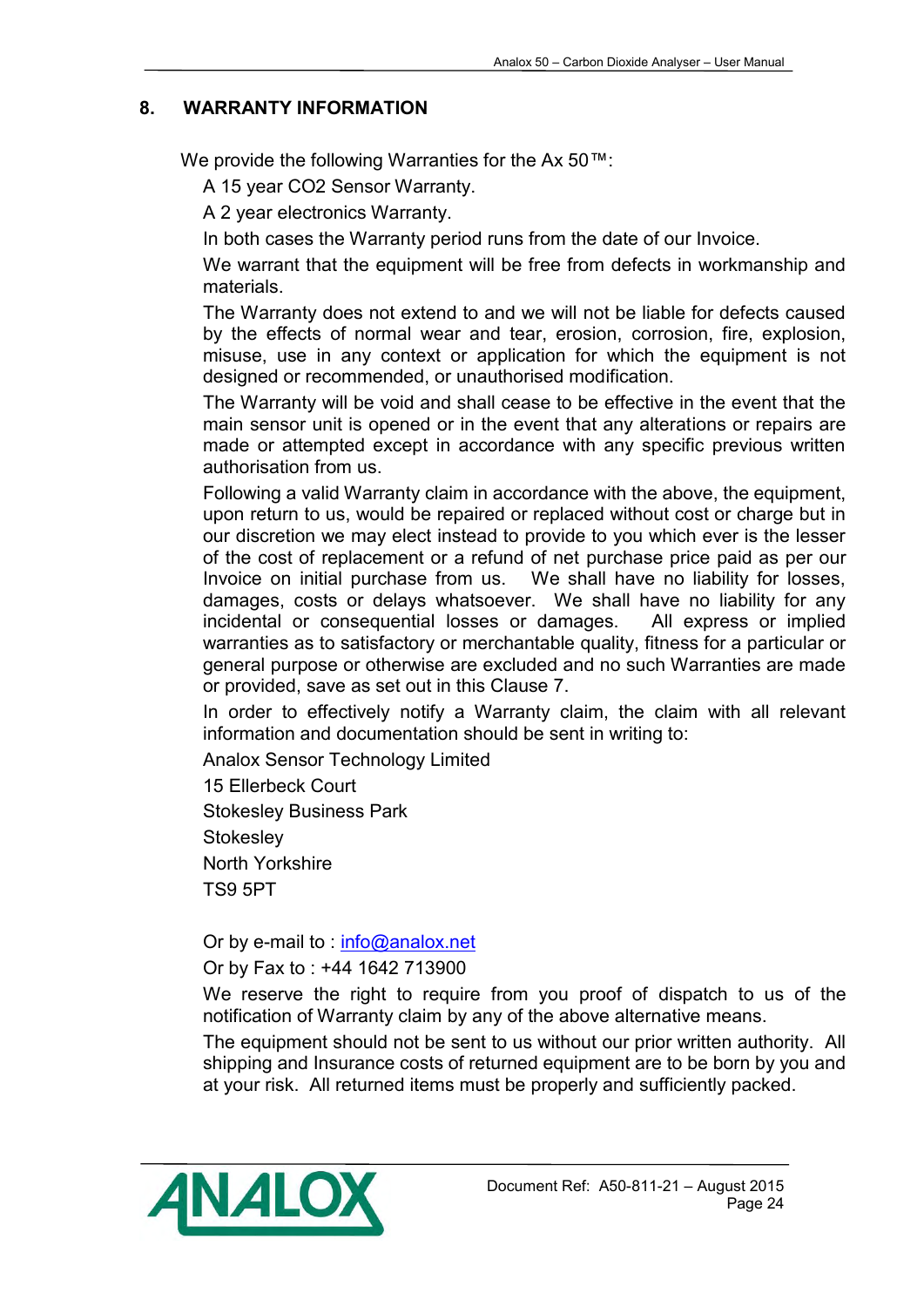#### <span id="page-24-0"></span>**8. WARRANTY INFORMATION**

We provide the following Warranties for the Ax 50™:

A 15 year CO2 Sensor Warranty.

A 2 year electronics Warranty.

In both cases the Warranty period runs from the date of our Invoice.

We warrant that the equipment will be free from defects in workmanship and materials.

The Warranty does not extend to and we will not be liable for defects caused by the effects of normal wear and tear, erosion, corrosion, fire, explosion, misuse, use in any context or application for which the equipment is not designed or recommended, or unauthorised modification.

The Warranty will be void and shall cease to be effective in the event that the main sensor unit is opened or in the event that any alterations or repairs are made or attempted except in accordance with any specific previous written authorisation from us.

Following a valid Warranty claim in accordance with the above, the equipment, upon return to us, would be repaired or replaced without cost or charge but in our discretion we may elect instead to provide to you which ever is the lesser of the cost of replacement or a refund of net purchase price paid as per our Invoice on initial purchase from us. We shall have no liability for losses, damages, costs or delays whatsoever. We shall have no liability for any incidental or consequential losses or damages. All express or implied warranties as to satisfactory or merchantable quality, fitness for a particular or general purpose or otherwise are excluded and no such Warranties are made or provided, save as set out in this Clause 7.

In order to effectively notify a Warranty claim, the claim with all relevant information and documentation should be sent in writing to:

Analox Sensor Technology Limited

15 Ellerbeck Court Stokesley Business Park **Stokesley** North Yorkshire TS9 5PT

Or by e-mail to : [info@analox.net](mailto:info@analox.net)

Or by Fax to : +44 1642 713900

We reserve the right to require from you proof of dispatch to us of the notification of Warranty claim by any of the above alternative means.

The equipment should not be sent to us without our prior written authority. All shipping and Insurance costs of returned equipment are to be born by you and at your risk. All returned items must be properly and sufficiently packed.

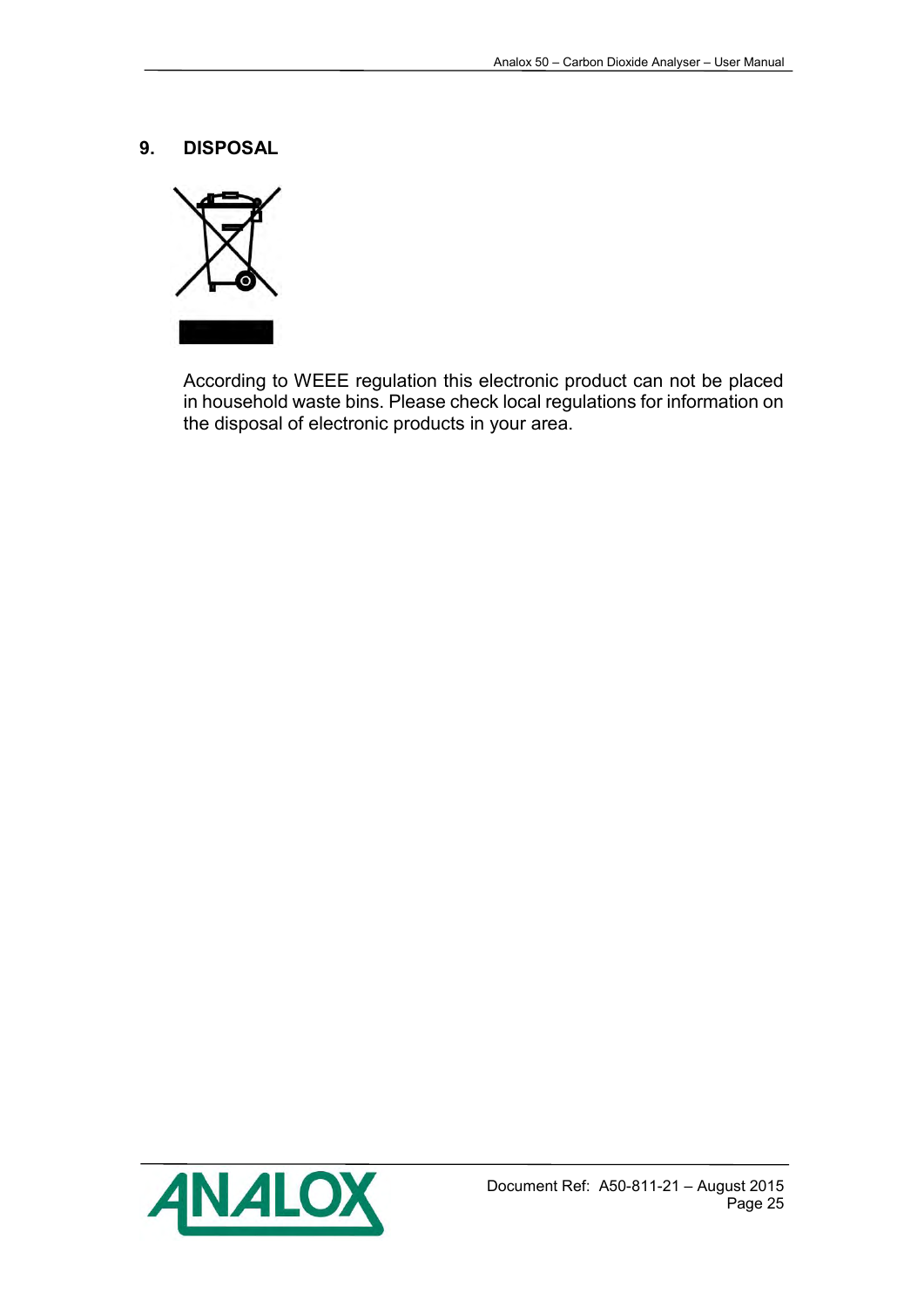#### <span id="page-25-0"></span>**9. DISPOSAL**



According to WEEE regulation this electronic product can not be placed in household waste bins. Please check local regulations for information on the disposal of electronic products in your area.

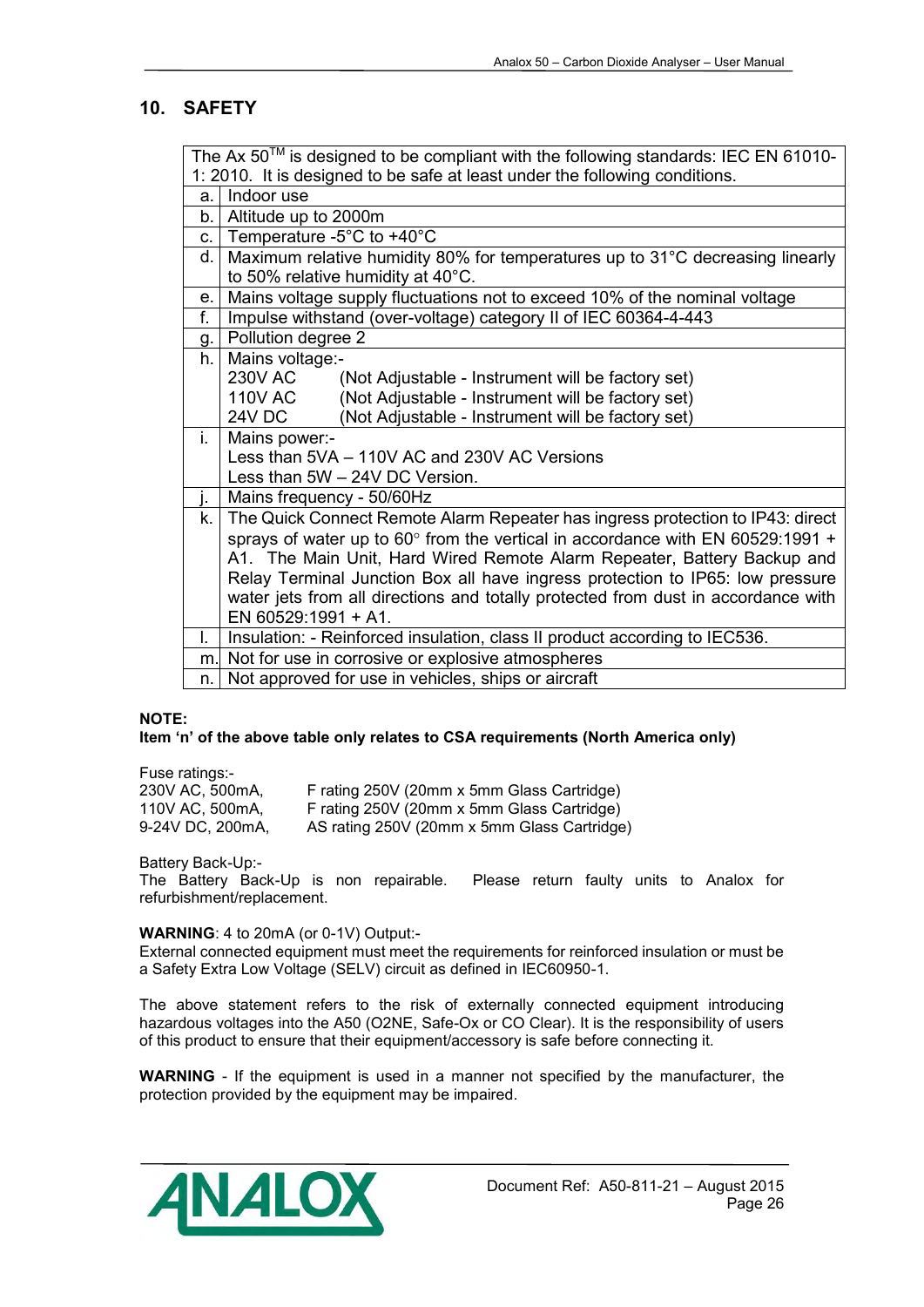#### <span id="page-26-0"></span>**10. SAFETY**

|                  | The Ax $50^{TM}$ is designed to be compliant with the following standards: IEC EN 61010-<br>1: 2010. It is designed to be safe at least under the following conditions. |
|------------------|-------------------------------------------------------------------------------------------------------------------------------------------------------------------------|
| a.               | Indoor use                                                                                                                                                              |
| b.               | Altitude up to 2000m                                                                                                                                                    |
| C.               | Temperature -5 $^{\circ}$ C to +40 $^{\circ}$ C                                                                                                                         |
| d.               | Maximum relative humidity 80% for temperatures up to 31°C decreasing linearly                                                                                           |
|                  | to 50% relative humidity at 40°C.                                                                                                                                       |
| e.               | Mains voltage supply fluctuations not to exceed 10% of the nominal voltage                                                                                              |
| $\overline{f}$ . | Impulse withstand (over-voltage) category II of IEC 60364-4-443                                                                                                         |
| g.               | Pollution degree 2                                                                                                                                                      |
| h.               | Mains voltage:-                                                                                                                                                         |
|                  | <b>230V AC</b><br>(Not Adjustable - Instrument will be factory set)                                                                                                     |
|                  | <b>110V AC</b><br>(Not Adjustable - Instrument will be factory set)                                                                                                     |
|                  | <b>24V DC</b><br>(Not Adjustable - Instrument will be factory set)                                                                                                      |
| i.               | Mains power:-                                                                                                                                                           |
|                  | Less than 5VA - 110V AC and 230V AC Versions                                                                                                                            |
|                  | Less than 5W - 24V DC Version.                                                                                                                                          |
| j.               | Mains frequency - 50/60Hz                                                                                                                                               |
| k.               | The Quick Connect Remote Alarm Repeater has ingress protection to IP43: direct                                                                                          |
|                  | sprays of water up to $60^{\circ}$ from the vertical in accordance with EN 60529:1991 +                                                                                 |
|                  | A1. The Main Unit, Hard Wired Remote Alarm Repeater, Battery Backup and                                                                                                 |
|                  | Relay Terminal Junction Box all have ingress protection to IP65: low pressure                                                                                           |
|                  | water jets from all directions and totally protected from dust in accordance with                                                                                       |
|                  | EN 60529:1991 + A1.                                                                                                                                                     |
| L.               | Insulation: - Reinforced insulation, class II product according to IEC536.                                                                                              |
| m.               | Not for use in corrosive or explosive atmospheres                                                                                                                       |
| n.               | Not approved for use in vehicles, ships or aircraft                                                                                                                     |

#### **NOTE:**

#### **Item 'n' of the above table only relates to CSA requirements (North America only)**

Fuse ratings:-

| 230V AC, 500mA,  | F rating 250V (20mm x 5mm Glass Cartridge)  |
|------------------|---------------------------------------------|
| 110V AC, 500mA,  | F rating 250V (20mm x 5mm Glass Cartridge)  |
| 9-24V DC, 200mA, | AS rating 250V (20mm x 5mm Glass Cartridge) |

Battery Back-Up:-

The Battery Back-Up is non repairable. Please return faulty units to Analox for refurbishment/replacement.

#### **WARNING**: 4 to 20mA (or 0-1V) Output:-

External connected equipment must meet the requirements for reinforced insulation or must be a Safety Extra Low Voltage (SELV) circuit as defined in IEC60950-1.

The above statement refers to the risk of externally connected equipment introducing hazardous voltages into the A50 (O2NE, Safe-Ox or CO Clear). It is the responsibility of users of this product to ensure that their equipment/accessory is safe before connecting it.

**WARNING** - If the equipment is used in a manner not specified by the manufacturer, the protection provided by the equipment may be impaired.